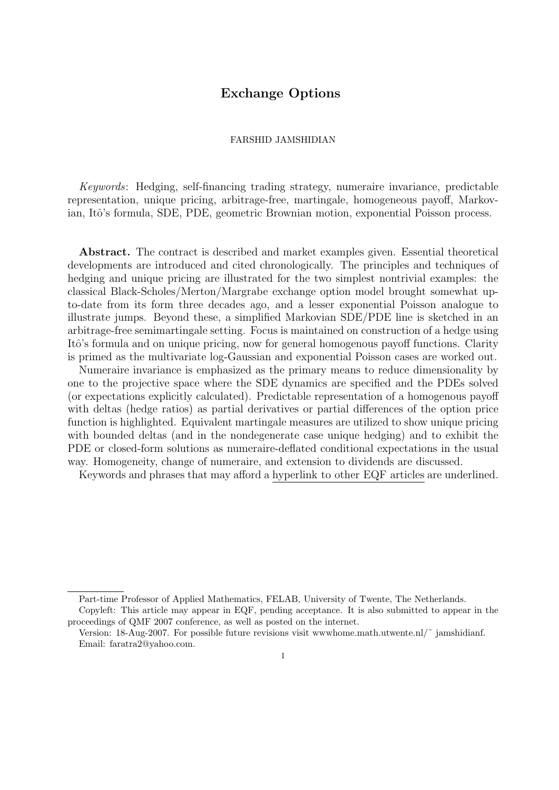# Exchange Options

# FARSHID JAMSHIDIAN

Keywords: Hedging, self-financing trading strategy, numeraire invariance, predictable representation, unique pricing, arbitrage-free, martingale, homogeneous payoff, Markovian, Itô's formula, SDE, PDE, geometric Brownian motion, exponential Poisson process.

Abstract. The contract is described and market examples given. Essential theoretical developments are introduced and cited chronologically. The principles and techniques of hedging and unique pricing are illustrated for the two simplest nontrivial examples: the classical Black-Scholes/Merton/Margrabe exchange option model brought somewhat upto-date from its form three decades ago, and a lesser exponential Poisson analogue to illustrate jumps. Beyond these, a simplified Markovian SDE/PDE line is sketched in an arbitrage-free semimartingale setting. Focus is maintained on construction of a hedge using Itô's formula and on unique pricing, now for general homogenous payoff functions. Clarity is primed as the multivariate log-Gaussian and exponential Poisson cases are worked out.

Numeraire invariance is emphasized as the primary means to reduce dimensionality by one to the projective space where the SDE dynamics are specified and the PDEs solved (or expectations explicitly calculated). Predictable representation of a homogenous payoff with deltas (hedge ratios) as partial derivatives or partial differences of the option price function is highlighted. Equivalent martingale measures are utilized to show unique pricing with bounded deltas (and in the nondegenerate case unique hedging) and to exhibit the PDE or closed-form solutions as numeraire-deflated conditional expectations in the usual way. Homogeneity, change of numeraire, and extension to dividends are discussed.

Keywords and phrases that may afford a hyperlink to other EQF articles are underlined.

Part-time Professor of Applied Mathematics, FELAB, University of Twente, The Netherlands.

Copyleft: This article may appear in EQF, pending acceptance. It is also submitted to appear in the proceedings of QMF 2007 conference, as well as posted on the internet.

Version: 18-Aug-2007. For possible future revisions visit www.home.math.utwente.nl/ $\tilde{ }$  jamshidianf. Email: faratra2@yahoo.com.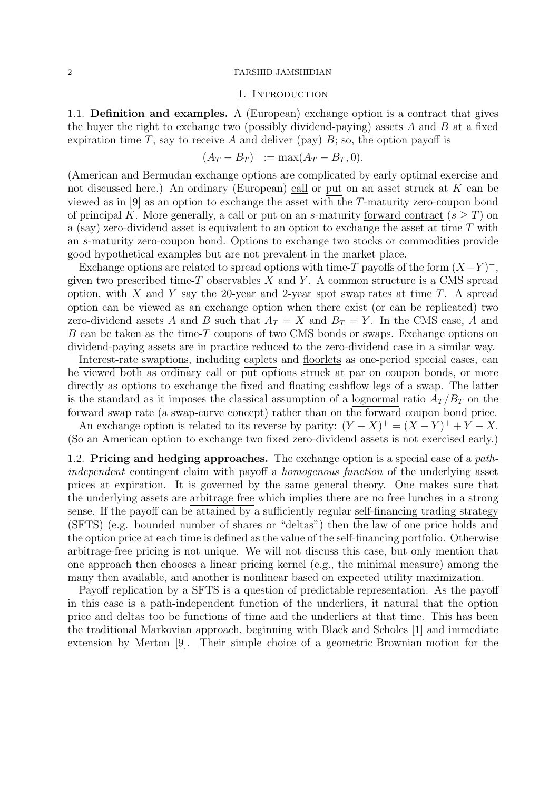# 1. Introduction

1.1. Definition and examples. A (European) exchange option is a contract that gives the buyer the right to exchange two (possibly dividend-paying) assets  $A$  and  $B$  at a fixed expiration time T, say to receive A and deliver (pay)  $B$ ; so, the option payoff is

$$
(A_T - B_T)^+ := \max(A_T - B_T, 0).
$$

(American and Bermudan exchange options are complicated by early optimal exercise and not discussed here.) An ordinary (European) call or put on an asset struck at K can be viewed as in [9] as an option to exchange the asset with the T-maturity zero-coupon bond of principal K. More generally, a call or put on an s-maturity forward contract  $(s > T)$  on a (say) zero-dividend asset is equivalent to an option to exchange the asset at time  $T$  with an s-maturity zero-coupon bond. Options to exchange two stocks or commodities provide good hypothetical examples but are not prevalent in the market place.

Exchange options are related to spread options with time-T payoffs of the form  $(X-Y)^+$ , given two prescribed time-T observables  $X$  and  $Y$ . A common structure is a CMS spread option, with X and Y say the 20-year and 2-year spot swap rates at time  $T$ . A spread option can be viewed as an exchange option when there exist (or can be replicated) two zero-dividend assets A and B such that  $A_T = X$  and  $B_T = Y$ . In the CMS case, A and B can be taken as the time-T coupons of two CMS bonds or swaps. Exchange options on dividend-paying assets are in practice reduced to the zero-dividend case in a similar way.

Interest-rate swaptions, including caplets and floorlets as one-period special cases, can be viewed both as ordinary call or put options struck at par on coupon bonds, or more directly as options to exchange the fixed and floating cashflow legs of a swap. The latter is the standard as it imposes the classical assumption of a lognormal ratio  $A_T/B_T$  on the forward swap rate (a swap-curve concept) rather than on the forward coupon bond price.

An exchange option is related to its reverse by parity:  $(Y - X)^{+} = (X - Y)^{+} + Y - X$ . (So an American option to exchange two fixed zero-dividend assets is not exercised early.)

1.2. Pricing and hedging approaches. The exchange option is a special case of a pathindependent contingent claim with payoff a homogenous function of the underlying asset prices at expiration. It is governed by the same general theory. One makes sure that the underlying assets are arbitrage free which implies there are no free lunches in a strong sense. If the payoff can be attained by a sufficiently regular self-financing trading strategy (SFTS) (e.g. bounded number of shares or "deltas") then the law of one price holds and the option price at each time is defined as the value of the self-financing portfolio. Otherwise arbitrage-free pricing is not unique. We will not discuss this case, but only mention that one approach then chooses a linear pricing kernel (e.g., the minimal measure) among the many then available, and another is nonlinear based on expected utility maximization.

Payoff replication by a SFTS is a question of predictable representation. As the payoff in this case is a path-independent function of the underliers, it natural that the option price and deltas too be functions of time and the underliers at that time. This has been the traditional Markovian approach, beginning with Black and Scholes [1] and immediate extension by Merton [9]. Their simple choice of a geometric Brownian motion for the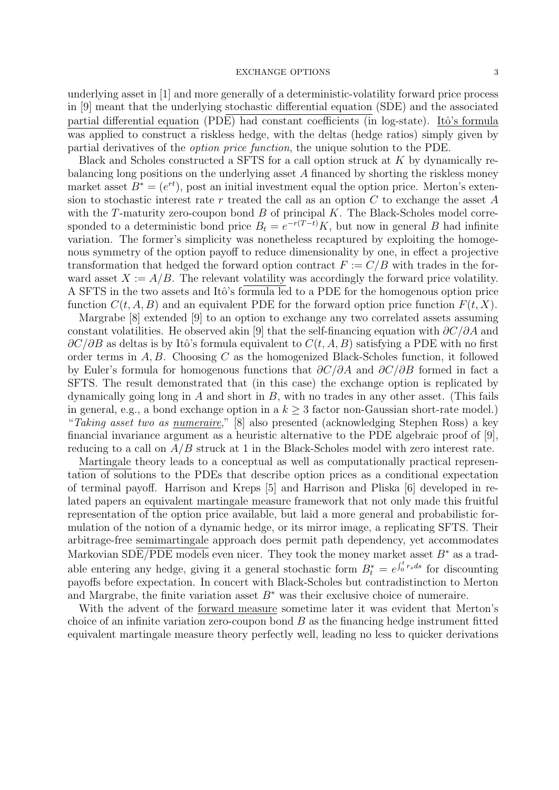underlying asset in [1] and more generally of a deterministic-volatility forward price process in [9] meant that the underlying stochastic differential equation (SDE) and the associated partial differential equation (PDE) had constant coefficients (in log-state). Itô's formula was applied to construct a riskless hedge, with the deltas (hedge ratios) simply given by partial derivatives of the option price function, the unique solution to the PDE.

Black and Scholes constructed a SFTS for a call option struck at K by dynamically rebalancing long positions on the underlying asset A financed by shorting the riskless money market asset  $B^* = (e^{rt})$ , post an initial investment equal the option price. Merton's extension to stochastic interest rate r treated the call as an option  $C$  to exchange the asset  $A$ with the  $T$ -maturity zero-coupon bond  $B$  of principal  $K$ . The Black-Scholes model corresponded to a deterministic bond price  $B_t = e^{-r(T-t)}K$ , but now in general B had infinite variation. The former's simplicity was nonetheless recaptured by exploiting the homogenous symmetry of the option payoff to reduce dimensionality by one, in effect a projective transformation that hedged the forward option contract  $F := C/B$  with trades in the forward asset  $X := A/B$ . The relevant volatility was accordingly the forward price volatility. A SFTS in the two assets and Itô's formula led to a PDE for the homogenous option price function  $C(t, A, B)$  and an equivalent PDE for the forward option price function  $F(t, X)$ .

Margrabe [8] extended [9] to an option to exchange any two correlated assets assuming constant volatilities. He observed akin [9] that the self-financing equation with  $\partial C/\partial A$  and  $\partial C/\partial B$  as deltas is by Itô's formula equivalent to  $C(t, A, B)$  satisfying a PDE with no first order terms in  $A, B$ . Choosing C as the homogenized Black-Scholes function, it followed by Euler's formula for homogenous functions that  $\partial C/\partial A$  and  $\partial C/\partial B$  formed in fact a SFTS. The result demonstrated that (in this case) the exchange option is replicated by dynamically going long in  $A$  and short in  $B$ , with no trades in any other asset. (This fails in general, e.g., a bond exchange option in a  $k \geq 3$  factor non-Gaussian short-rate model.) "Taking asset two as numeraire," [8] also presented (acknowledging Stephen Ross) a key financial invariance argument as a heuristic alternative to the PDE algebraic proof of [9], reducing to a call on  $A/B$  struck at 1 in the Black-Scholes model with zero interest rate.

Martingale theory leads to a conceptual as well as computationally practical representation of solutions to the PDEs that describe option prices as a conditional expectation of terminal payoff. Harrison and Kreps [5] and Harrison and Pliska [6] developed in related papers an equivalent martingale measure framework that not only made this fruitful representation of the option price available, but laid a more general and probabilistic formulation of the notion of a dynamic hedge, or its mirror image, a replicating SFTS. Their arbitrage-free semimartingale approach does permit path dependency, yet accommodates Markovian SDE/PDE models even nicer. They took the money market asset  $B^*$  as a tradable entering any hedge, giving it a general stochastic form  $B_t^* = e^{\int_0^t r_s ds}$  for discounting payoffs before expectation. In concert with Black-Scholes but contradistinction to Merton and Margrabe, the finite variation asset  $B^*$  was their exclusive choice of numeraire.

With the advent of the forward measure sometime later it was evident that Merton's choice of an infinite variation zero-coupon bond  $B$  as the financing hedge instrument fitted equivalent martingale measure theory perfectly well, leading no less to quicker derivations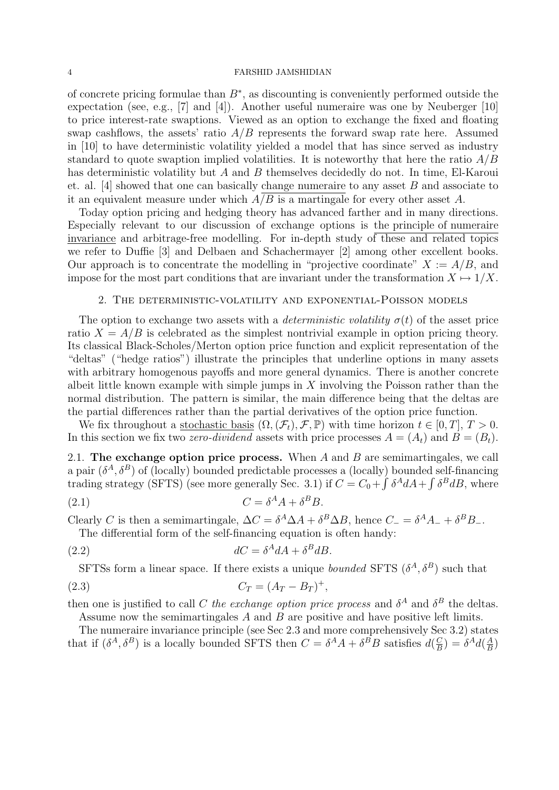of concrete pricing formulae than  $B^*$ , as discounting is conveniently performed outside the expectation (see, e.g., [7] and [4]). Another useful numeraire was one by Neuberger [10] to price interest-rate swaptions. Viewed as an option to exchange the fixed and floating swap cashflows, the assets' ratio  $A/B$  represents the forward swap rate here. Assumed in [10] to have deterministic volatility yielded a model that has since served as industry standard to quote swaption implied volatilities. It is noteworthy that here the ratio  $A/B$ has deterministic volatility but A and B themselves decidedly do not. In time, El-Karoui et. al. [4] showed that one can basically change numeraire to any asset  $B$  and associate to it an equivalent measure under which  $A/B$  is a martingale for every other asset A.

Today option pricing and hedging theory has advanced farther and in many directions. Especially relevant to our discussion of exchange options is the principle of numeraire invariance and arbitrage-free modelling. For in-depth study of these and related topics we refer to Duffie [3] and Delbaen and Schachermayer [2] among other excellent books. Our approach is to concentrate the modelling in "projective coordinate"  $X := A/B$ , and impose for the most part conditions that are invariant under the transformation  $X \mapsto 1/X$ .

# 2. The deterministic-volatility and exponential-Poisson models

The option to exchange two assets with a *deterministic volatility*  $\sigma(t)$  of the asset price ratio  $X = A/B$  is celebrated as the simplest nontrivial example in option pricing theory. Its classical Black-Scholes/Merton option price function and explicit representation of the "deltas" ("hedge ratios") illustrate the principles that underline options in many assets with arbitrary homogenous payoffs and more general dynamics. There is another concrete albeit little known example with simple jumps in  $X$  involving the Poisson rather than the normal distribution. The pattern is similar, the main difference being that the deltas are the partial differences rather than the partial derivatives of the option price function.

We fix throughout a stochastic basis  $(\Omega, (\mathcal{F}_t), \mathcal{F}, \mathbb{P})$  with time horizon  $t \in [0, T], T > 0$ . In this section we fix two *zero-dividend* assets with price processes  $A = (A_t)$  and  $B = (B_t)$ .

2.1. The exchange option price process. When  $A$  and  $B$  are semimartingales, we call a pair  $(\delta^A, \delta^B)$  of (locally) bounded predictable processes a (locally) bounded self-financing trading strategy (SFTS) (see more generally Sec. 3.1) if  $C = C_0 + \int \delta^A dA + \int \delta^B dB$ , where

$$
(2.1) \tC = \delta^A A + \delta^B B.
$$

Clearly C is then a semimartingale,  $\Delta C = \delta^A \Delta A + \delta^B \Delta B$ , hence  $C_- = \delta^A A_- + \delta^B B_-$ .

The differential form of the self-financing equation is often handy:

(2.2) 
$$
dC = \delta^A dA + \delta^B dB.
$$

SFTSs form a linear space. If there exists a unique *bounded* SFTS  $(\delta^A, \delta^B)$  such that

(2.3) 
$$
C_T = (A_T - B_T)^+,
$$

then one is justified to call C the exchange option price process and  $\delta^A$  and  $\delta^B$  the deltas.

Assume now the semimartingales A and B are positive and have positive left limits. The numeraire invariance principle (see Sec 2.3 and more comprehensively Sec 3.2) states that if  $(\delta^A, \delta^B)$  is a locally bounded SFTS then  $C = \delta^A A + \delta^B B$  satisfies  $d(\frac{C}{B})$  $\left(\frac{C}{B}\right) = \delta^A d\left(\frac{A}{B}\right)$  $\frac{A}{B}$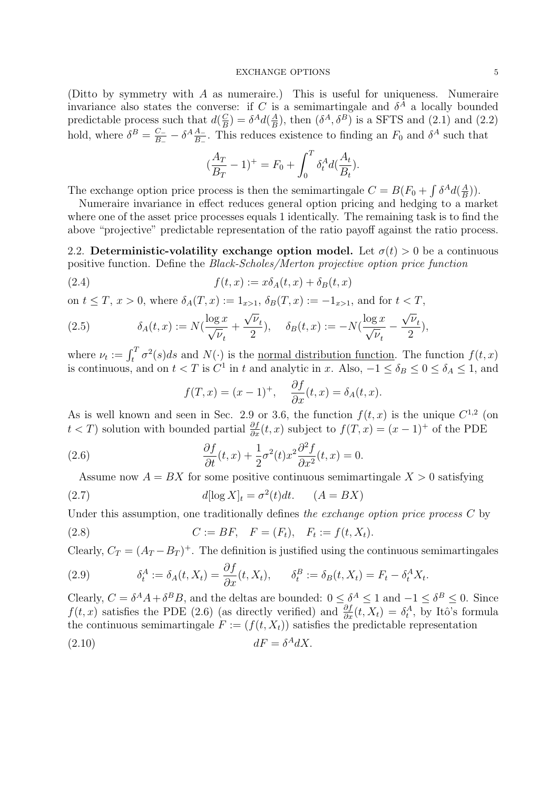(Ditto by symmetry with A as numeraire.) This is useful for uniqueness. Numeraire invariance also states the converse: if C is a semimartingale and  $\delta^A$  a locally bounded predictable process such that  $d\left(\frac{C}{R}\right)$  $\left(\frac{C}{B}\right) = \delta^A d\left(\frac{A}{B}\right)$  $\frac{A}{B}$ ), then  $(\delta^A, \delta^B)$  is a SFTS and (2.1) and (2.2) hold, where  $\delta^B = \frac{C_-}{B}$  $\frac{C_{-}}{B_{-}}-\delta^{A}\frac{A_{-}}{B_{-}}$  $\frac{A_{-}}{B_{-}}$ . This reduces existence to finding an  $F_0$  and  $\delta^A$  such that

$$
(\frac{A_T}{B_T} - 1)^+ = F_0 + \int_0^T \delta_t^A d(\frac{A_t}{B_t}).
$$

The exchange option price process is then the semimartingale  $C = B(F_0 + \int \delta^A d(\frac{A}{B}))$  $\frac{A}{B})$ ).

Numeraire invariance in effect reduces general option pricing and hedging to a market where one of the asset price processes equals 1 identically. The remaining task is to find the above "projective" predictable representation of the ratio payoff against the ratio process.

2.2. Deterministic-volatility exchange option model. Let  $\sigma(t) > 0$  be a continuous positive function. Define the Black-Scholes/Merton projective option price function

(2.4) 
$$
f(t,x) := x\delta_A(t,x) + \delta_B(t,x)
$$

on  $t \leq T$ ,  $x > 0$ , where  $\delta_A(T, x) := 1_{x>1}$ ,  $\delta_B(T, x) := -1_{x>1}$ , and for  $t < T$ , √ √

(2.5) 
$$
\delta_A(t,x) := N\left(\frac{\log x}{\sqrt{\nu_t}} + \frac{\sqrt{\nu_t}}{2}\right), \quad \delta_B(t,x) := -N\left(\frac{\log x}{\sqrt{\nu_t}} - \frac{\sqrt{\nu_t}}{2}\right),
$$

where  $\nu_t := \int_t^T \sigma^2(s)ds$  and  $N(\cdot)$  is the <u>normal distribution function</u>. The function  $f(t, x)$ is continuous, and on  $t < T$  is  $C^1$  in t and analytic in x. Also,  $-1 \le \delta_B \le 0 \le \delta_A \le 1$ , and

$$
f(T, x) = (x - 1)^+, \quad \frac{\partial f}{\partial x}(t, x) = \delta_A(t, x).
$$

As is well known and seen in Sec. 2.9 or 3.6, the function  $f(t, x)$  is the unique  $C^{1,2}$  (on  $t < T$ ) solution with bounded partial  $\frac{\partial f}{\partial x}(t, x)$  subject to  $f(T, x) = (x - 1)^+$  of the PDE

(2.6) 
$$
\frac{\partial f}{\partial t}(t,x) + \frac{1}{2}\sigma^2(t)x^2 \frac{\partial^2 f}{\partial x^2}(t,x) = 0.
$$

Assume now  $A = BX$  for some positive continuous semimartingale  $X > 0$  satisfying

(2.7) 
$$
d[\log X]_t = \sigma^2(t)dt. \qquad (A = BX)
$$

Under this assumption, one traditionally defines the exchange option price process C by

(2.8) 
$$
C := BF, \quad F = (F_t), \quad F_t := f(t, X_t).
$$

Clearly,  $C_T = (A_T - B_T)^+$ . The definition is justified using the continuous semimartingales

(2.9) 
$$
\delta_t^A := \delta_A(t, X_t) = \frac{\partial f}{\partial x}(t, X_t), \qquad \delta_t^B := \delta_B(t, X_t) = F_t - \delta_t^A X_t.
$$

Clearly,  $C = \delta^A A + \delta^B B$ , and the deltas are bounded:  $0 \leq \delta^A \leq 1$  and  $-1 \leq \delta^B \leq 0$ . Since  $f(t, x)$  satisfies the PDE (2.6) (as directly verified) and  $\frac{\partial f}{\partial x}(t, X_t) = \delta_t^A$ , by Itô's formula the continuous semimartingale  $F := (f(t, X_t))$  satisfies the predictable representation

$$
(2.10) \t dF = \delta^A dX.
$$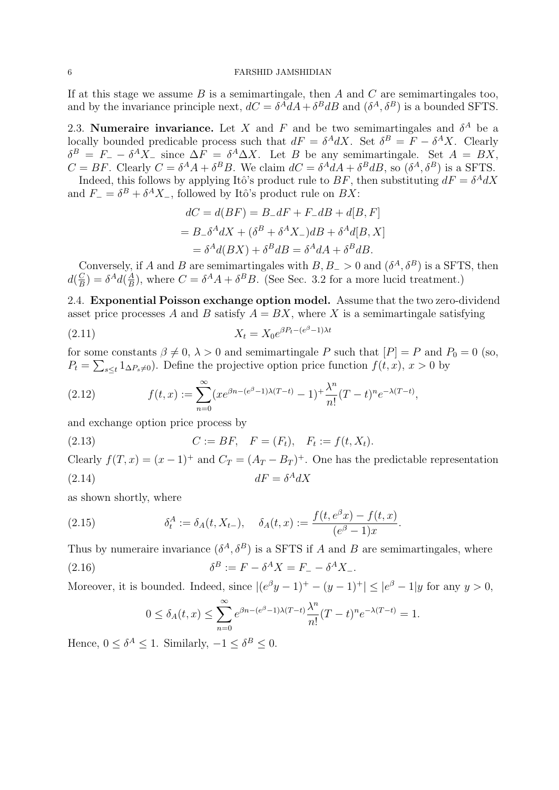If at this stage we assume  $B$  is a semimartingale, then  $A$  and  $C$  are semimartingales too, and by the invariance principle next,  $dC = \delta^A dA + \delta^B dB$  and  $(\delta^A, \delta^B)$  is a bounded SFTS.

2.3. Numeraire invariance. Let X and F and be two semimartingales and  $\delta^A$  be a locally bounded predicable process such that  $dF = \delta^A dX$ . Set  $\delta^B = F - \delta^A X$ . Clearly  $\delta^B = F_+ - \delta^A X_-\$  since  $\Delta F = \delta^A \Delta X$ . Let B be any semimartingale. Set  $A = BX$ ,  $C = BF$ . Clearly  $C = \delta^A A + \delta^B B$ . We claim  $dC = \delta^A dA + \delta^B dB$ , so  $(\delta^A, \delta^B)$  is a SFTS.

Indeed, this follows by applying Itô's product rule to  $BF$ , then substituting  $dF = \delta^A dX$ and  $F_{-} = \delta^{B} + \delta^{A} X_{-}$ , followed by Itô's product rule on  $BX$ :

$$
dC = d(BF) = B_dF + F_dB + d[B, F]
$$
  
= B<sub>o</sub> $\delta^A dX + (\delta^B + \delta^A X_{-})dB + \delta^A d[B, X]$   
=  $\delta^A d(BX) + \delta^B dB = \delta^A dA + \delta^B dB.$ 

Conversely, if A and B are semimartingales with  $B, B_{-} > 0$  and  $(\delta^{A}, \delta^{B})$  is a SFTS, then  $d(\frac{C}{B})$  $\frac{C}{B}$ ) =  $\delta^A d(\frac{A}{B})$  $\frac{A}{B}$ ), where  $C = \delta^A A + \delta^B B$ . (See Sec. 3.2 for a more lucid treatment.)

2.4. Exponential Poisson exchange option model. Assume that the two zero-dividend asset price processes A and B satisfy  $A = BX$ , where X is a semimartingale satisfying

$$
(2.11) \t\t X_t = X_0 e^{\beta P_t - (e^{\beta} - 1)\lambda t}
$$

for some constants  $\beta \neq 0$ ,  $\lambda > 0$  and semimartingale P such that  $[P] = P$  and  $P_0 = 0$  (so,  $P_t = \sum_{s \leq t} 1_{\Delta P_s \neq 0}$ . Define the projective option price function  $f(t, x)$ ,  $x > 0$  by

(2.12) 
$$
f(t,x) := \sum_{n=0}^{\infty} (xe^{\beta n - (e^{\beta} - 1)\lambda(T - t)} - 1)^{+\frac{\lambda^n}{n!}}(T - t)^n e^{-\lambda(T - t)},
$$

and exchange option price process by

(2.13) 
$$
C := BF, \quad F = (F_t), \quad F_t := f(t, X_t).
$$

Clearly  $f(T, x) = (x - 1)^{+}$  and  $C_T = (A_T - B_T)^{+}$ . One has the predictable representation (2.14)  $dF = \delta^A dX$ 

as shown shortly, where

(2.15) 
$$
\delta_t^A := \delta_A(t, X_{t-}), \quad \delta_A(t, x) := \frac{f(t, e^{\beta} x) - f(t, x)}{(e^{\beta} - 1)x}.
$$

Thus by numeraire invariance  $(\delta^A, \delta^B)$  is a SFTS if A and B are semimartingales, where  $(2.16)$  $B := F - \delta^A X = F_- - \delta^A X_-$ 

Moreover, it is bounded. Indeed, since  $| (e^{\beta}y - 1)^+ - (y - 1)^+ | \leq |e^{\beta} - 1|y$  for any  $y > 0$ ,

$$
0 \le \delta_A(t,x) \le \sum_{n=0}^{\infty} e^{\beta n - (e^{\beta} - 1)\lambda(T-t)} \frac{\lambda^n}{n!} (T-t)^n e^{-\lambda(T-t)} = 1.
$$

Hence,  $0 \leq \delta^A \leq 1$ . Similarly,  $-1 \leq \delta^B \leq 0$ .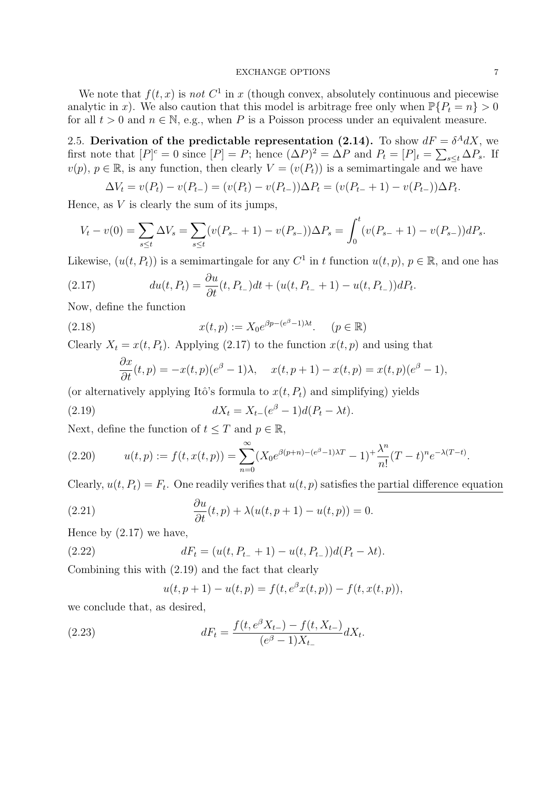We note that  $f(t, x)$  is not  $C^1$  in x (though convex, absolutely continuous and piecewise analytic in x). We also caution that this model is arbitrage free only when  $\mathbb{P}\{P_t = n\} > 0$ for all  $t > 0$  and  $n \in \mathbb{N}$ , e.g., when P is a Poisson process under an equivalent measure.

2.5. Derivation of the predictable representation (2.14). To show  $dF = \delta^A dX$ , we first note that  $[P]^c = 0$  since  $[P] = P$ ; hence  $(\Delta P)^2 = \Delta P$  and  $P_t = [P]_t = \sum_{s \le t} \Delta P_s$ . If  $v(p), p \in \mathbb{R}$ , is any function, then clearly  $V = (v(P_t))$  is a semimartingale and we have

$$
\Delta V_t = v(P_t) - v(P_{t-}) = (v(P_t) - v(P_{t-}))\Delta P_t = (v(P_{t-} + 1) - v(P_{t-}))\Delta P_t.
$$

Hence, as  $V$  is clearly the sum of its jumps,

$$
V_t - v(0) = \sum_{s \le t} \Delta V_s = \sum_{s \le t} (v(P_{s-} + 1) - v(P_{s-})) \Delta P_s = \int_0^t (v(P_{s-} + 1) - v(P_{s-})) dP_s.
$$

Likewise,  $(u(t, P_t))$  is a semimartingale for any  $C^1$  in t function  $u(t, p)$ ,  $p \in \mathbb{R}$ , and one has

(2.17) 
$$
du(t, P_t) = \frac{\partial u}{\partial t}(t, P_{t-})dt + (u(t, P_{t-} + 1) - u(t, P_{t-}))dP_t.
$$

Now, define the function

(2.18) 
$$
x(t,p) := X_0 e^{\beta p - (e^{\beta} - 1)\lambda t}.
$$
  $(p \in \mathbb{R})$ 

Clearly  $X_t = x(t, P_t)$ . Applying (2.17) to the function  $x(t, p)$  and using that

$$
\frac{\partial x}{\partial t}(t, p) = -x(t, p)(e^{\beta} - 1)\lambda, \quad x(t, p + 1) - x(t, p) = x(t, p)(e^{\beta} - 1),
$$

(or alternatively applying Itô's formula to  $x(t, P_t)$  and simplifying) yields

(2.19) 
$$
dX_t = X_{t-}(e^{\beta} - 1)d(P_t - \lambda t).
$$

Next, define the function of  $t \leq T$  and  $p \in \mathbb{R}$ ,

(2.20) 
$$
u(t,p) := f(t,x(t,p)) = \sum_{n=0}^{\infty} (X_0 e^{\beta(p+n)-(e^{\beta}-1)\lambda T} - 1)^{n-1} \frac{\lambda^n}{n!} (T-t)^n e^{-\lambda(T-t)}.
$$

Clearly,  $u(t, P_t) = F_t$ . One readily verifies that  $u(t, p)$  satisfies the partial difference equation

(2.21) 
$$
\frac{\partial u}{\partial t}(t, p) + \lambda(u(t, p + 1) - u(t, p)) = 0.
$$

Hence by  $(2.17)$  we have,

(2.22) 
$$
dF_t = (u(t, P_{t-} + 1) - u(t, P_{t-}))d(P_t - \lambda t).
$$

Combining this with (2.19) and the fact that clearly

$$
u(t, p + 1) - u(t, p) = f(t, e^{\beta}x(t, p)) - f(t, x(t, p)),
$$

we conclude that, as desired,

(2.23) 
$$
dF_t = \frac{f(t, e^{\beta}X_{t-}) - f(t, X_{t-})}{(e^{\beta} - 1)X_{t-}} dX_t.
$$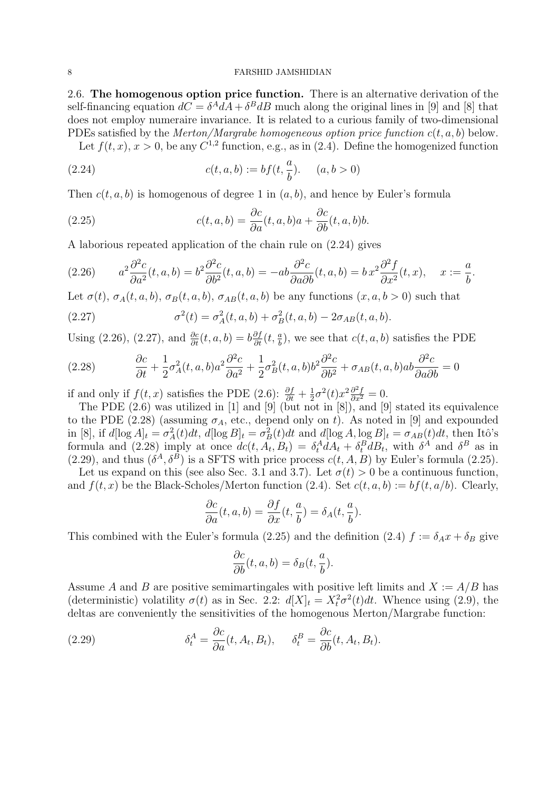2.6. The homogenous option price function. There is an alternative derivation of the self-financing equation  $dC = \delta^A dA + \delta^B dB$  much along the original lines in [9] and [8] that does not employ numeraire invariance. It is related to a curious family of two-dimensional PDEs satisfied by the *Merton/Margrabe homogeneous option price function*  $c(t, a, b)$  below.

Let  $f(t, x)$ ,  $x > 0$ , be any  $C^{1,2}$  function, e.g., as in (2.4). Define the homogenized function

(2.24) 
$$
c(t, a, b) := bf(t, \frac{a}{b}). \quad (a, b > 0)
$$

Then  $c(t, a, b)$  is homogenous of degree 1 in  $(a, b)$ , and hence by Euler's formula

(2.25) 
$$
c(t, a, b) = \frac{\partial c}{\partial a}(t, a, b)a + \frac{\partial c}{\partial b}(t, a, b)b.
$$

A laborious repeated application of the chain rule on (2.24) gives

(2.26) 
$$
a^2 \frac{\partial^2 c}{\partial a^2}(t, a, b) = b^2 \frac{\partial^2 c}{\partial b^2}(t, a, b) = -ab \frac{\partial^2 c}{\partial a \partial b}(t, a, b) = b x^2 \frac{\partial^2 f}{\partial x^2}(t, x), \quad x := \frac{a}{b}.
$$

Let  $\sigma(t)$ ,  $\sigma_A(t, a, b)$ ,  $\sigma_B(t, a, b)$ ,  $\sigma_{AB}(t, a, b)$  be any functions  $(x, a, b > 0)$  such that

(2.27) 
$$
\sigma^{2}(t) = \sigma_{A}^{2}(t, a, b) + \sigma_{B}^{2}(t, a, b) - 2\sigma_{AB}(t, a, b).
$$

Using (2.26), (2.27), and  $\frac{\partial c}{\partial t}(t, a, b) = b \frac{\partial f}{\partial t}(t, \frac{a}{b})$ , we see that  $c(t, a, b)$  satisfies the PDE

(2.28) 
$$
\frac{\partial c}{\partial t} + \frac{1}{2}\sigma_A^2(t, a, b)a^2 \frac{\partial^2 c}{\partial a^2} + \frac{1}{2}\sigma_B^2(t, a, b)b^2 \frac{\partial^2 c}{\partial b^2} + \sigma_{AB}(t, a, b)ab \frac{\partial^2 c}{\partial a \partial b} = 0
$$

if and only if  $f(t, x)$  satisfies the PDE (2.6):  $\frac{\partial f}{\partial t} + \frac{1}{2}$  $\frac{1}{2}\sigma^2(t)x^2\frac{\partial^2 f}{\partial x^2} = 0.$ 

The PDE  $(2.6)$  was utilized in [1] and [9] (but not in [8]), and [9] stated its equivalence to the PDE (2.28) (assuming  $\sigma_A$ , etc., depend only on t). As noted in [9] and expounded in [8], if  $d[\log A]_t = \sigma_A^2(t)dt$ ,  $d[\log B]_t = \sigma_B^2(t)dt$  and  $d[\log A, \log B]_t = \sigma_{AB}(t)dt$ , then Itô's formula and (2.28) imply at once  $dc(t, A_t, B_t) = \delta_t^A dA_t + \delta_t^B dB_t$ , with  $\delta^A$  and  $\delta^B$  as in  $(2.29)$ , and thus  $(\delta^A, \delta^B)$  is a SFTS with price process  $c(t, A, B)$  by Euler's formula  $(2.25)$ .

Let us expand on this (see also Sec. 3.1 and 3.7). Let  $\sigma(t) > 0$  be a continuous function, and  $f(t, x)$  be the Black-Scholes/Merton function (2.4). Set  $c(t, a, b) := bf(t, a/b)$ . Clearly,

$$
\frac{\partial c}{\partial a}(t, a, b) = \frac{\partial f}{\partial x}(t, \frac{a}{b}) = \delta_A(t, \frac{a}{b}).
$$

This combined with the Euler's formula (2.25) and the definition (2.4)  $f := \delta_A x + \delta_B$  give

$$
\frac{\partial c}{\partial b}(t, a, b) = \delta_B(t, \frac{a}{b}).
$$

Assume A and B are positive semimartingales with positive left limits and  $X := A/B$  has (deterministic) volatility  $\sigma(t)$  as in Sec. 2.2:  $d[X]_t = X_t^2 \sigma^2(t) dt$ . Whence using (2.9), the deltas are conveniently the sensitivities of the homogenous Merton/Margrabe function:

(2.29) 
$$
\delta_t^A = \frac{\partial c}{\partial a}(t, A_t, B_t), \quad \delta_t^B = \frac{\partial c}{\partial b}(t, A_t, B_t).
$$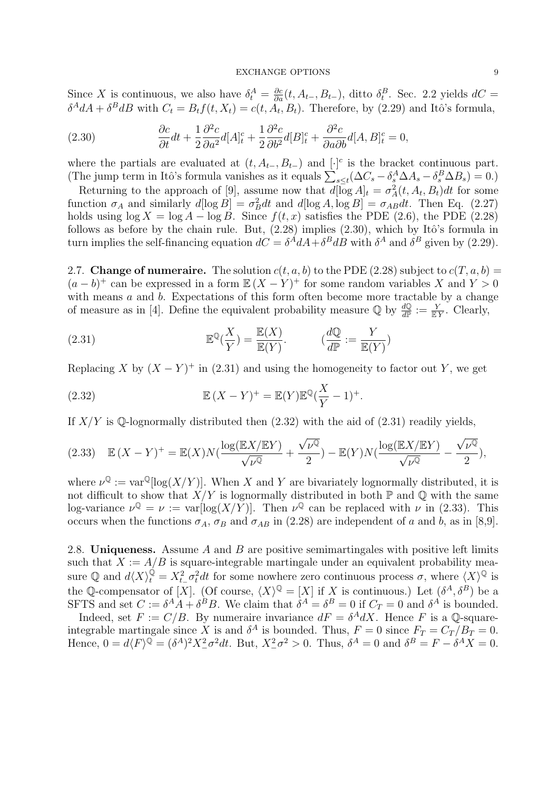Since X is continuous, we also have  $\delta_t^A = \frac{\partial c}{\partial a}(t, A_{t-}, B_{t-})$ , ditto  $\delta_t^B$ . Sec. 2.2 yields  $dC =$  $\delta^A dA + \delta^B dB$  with  $C_t = B_t f(t, X_t) = c(t, A_t, B_t)$ . Therefore, by (2.29) and Itô's formula,

(2.30) 
$$
\frac{\partial c}{\partial t}dt + \frac{1}{2}\frac{\partial^2 c}{\partial a^2}d[A]_t^c + \frac{1}{2}\frac{\partial^2 c}{\partial b^2}d[B]_t^c + \frac{\partial^2 c}{\partial a\partial b}d[A,B]_t^c = 0,
$$

where the partials are evaluated at  $(t, A_{t-}, B_{t-})$  and  $[\cdot]$ <sup>c</sup> is the bracket continuous part. (The jump term in Itô's formula vanishes as it equals  $\sum_{s\leq t} (\Delta C_s - \delta_s^A \Delta A_s - \delta_s^B \Delta B_s) = 0.$ )

Returning to the approach of [9], assume now that  $d[\overline{\log} A]_t = \sigma_A^2(t, A_t, B_t)dt$  for some function  $\sigma_A$  and similarly  $d[\log B] = \sigma_B^2 dt$  and  $d[\log A, \log B] = \sigma_{AB} dt$ . Then Eq. (2.27) holds using  $\log X = \log A - \log B$ . Since  $f(t, x)$  satisfies the PDE (2.6), the PDE (2.28) follows as before by the chain rule. But,  $(2.28)$  implies  $(2.30)$ , which by Itô's formula in turn implies the self-financing equation  $dC = \delta^A dA + \delta^B dB$  with  $\delta^A$  and  $\delta^B$  given by (2.29).

2.7. Change of numeraire. The solution  $c(t, a, b)$  to the PDE (2.28) subject to  $c(T, a, b)$  =  $(a - b)^+$  can be expressed in a form  $\mathbb{E}(X - Y)^+$  for some random variables X and  $Y > 0$ with means  $a$  and  $b$ . Expectations of this form often become more tractable by a change of measure as in [4]. Define the equivalent probability measure  $\mathbb{Q}$  by  $\frac{d\mathbb{Q}}{d\mathbb{P}} := \frac{Y}{\mathbb{E}Y}$ . Clearly,

(2.31) 
$$
\mathbb{E}^{\mathbb{Q}}(\frac{X}{Y}) = \frac{\mathbb{E}(X)}{\mathbb{E}(Y)}. \qquad (\frac{d\mathbb{Q}}{d\mathbb{P}} := \frac{Y}{\mathbb{E}(Y)})
$$

Replacing X by  $(X - Y)^+$  in (2.31) and using the homogeneity to factor out Y, we get

(2.32) 
$$
\mathbb{E}(X-Y)^{+} = \mathbb{E}(Y)\mathbb{E}^{\mathbb{Q}}(\frac{X}{Y}-1)^{+}.
$$

If  $X/Y$  is Q-lognormally distributed then  $(2.32)$  with the aid of  $(2.31)$  readily yields,

$$
(2.33)\quad \mathbb{E}(X-Y)^{+}=\mathbb{E}(X)N\left(\frac{\log(\mathbb{E}X/\mathbb{E}Y)}{\sqrt{\nu^{\mathbb{Q}}}}+\frac{\sqrt{\nu^{\mathbb{Q}}}}{2}\right)-\mathbb{E}(Y)N\left(\frac{\log(\mathbb{E}X/\mathbb{E}Y)}{\sqrt{\nu^{\mathbb{Q}}}}-\frac{\sqrt{\nu^{\mathbb{Q}}}}{2}\right),
$$

where  $\nu^{\mathbb{Q}} := \text{var}^{\mathbb{Q}}[\log(X/Y)]$ . When X and Y are bivariately lognormally distributed, it is not difficult to show that  $X/Y$  is lognormally distributed in both  $\mathbb P$  and  $\mathbb Q$  with the same log-variance  $\nu^{\mathbb{Q}} = \nu := \text{var}[\log(X/Y)]$ . Then  $\nu^{\mathbb{Q}}$  can be replaced with  $\nu$  in (2.33). This occurs when the functions  $\sigma_A$ ,  $\sigma_B$  and  $\sigma_{AB}$  in (2.28) are independent of a and b, as in [8,9].

2.8. Uniqueness. Assume A and B are positive semimartingales with positive left limits such that  $X := A/B$  is square-integrable martingale under an equivalent probability measure Q and  $d\langle X\rangle_t^{\dot Q} = X_{t-}^2 \sigma_t^2 dt$  for some nowhere zero continuous process  $\sigma$ , where  $\langle X\rangle^{\mathbb Q}$  is the Q-compensator of [X]. (Of course,  $\langle X \rangle^{\mathbb{Q}} = [X]$  if X is continuous.) Let  $(\delta^A, \delta^B)$  be a SFTS and set  $C := \delta^A A + \delta^B B$ . We claim that  $\delta^A = \delta^B = 0$  if  $C_T = 0$  and  $\delta^A$  is bounded.

Indeed, set  $F := C/B$ . By numeraire invariance  $dF = \delta^A dX$ . Hence F is a Q-squareintegrable martingale since X is and  $\delta^A$  is bounded. Thus,  $F = 0$  since  $F_T = C_T / B_T = 0$ . Hence,  $0 = d\langle F \rangle^{\mathbb{Q}} = (\delta^A)^2 X_{-\sigma}^2 dt$ . But,  $X_{-\sigma}^2 > 0$ . Thus,  $\delta^A = 0$  and  $\delta^B = F - \delta^A X = 0$ .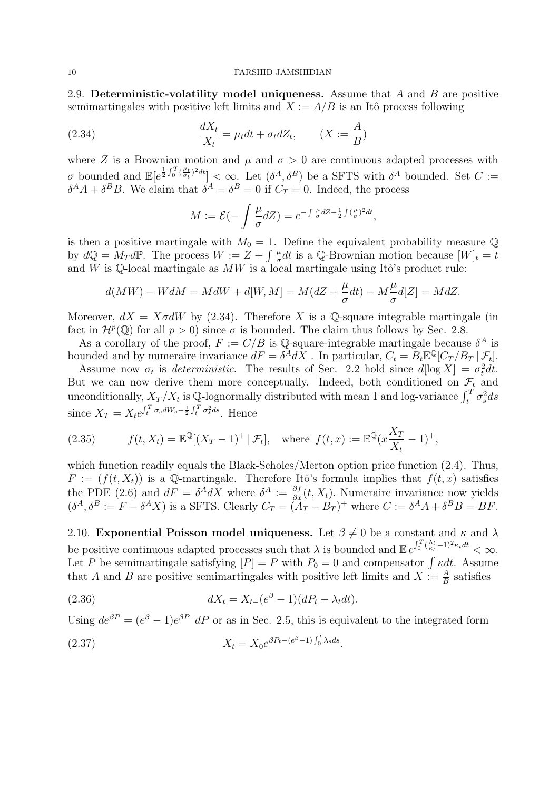2.9. Deterministic-volatility model uniqueness. Assume that  $A$  and  $B$  are positive semimartingales with positive left limits and  $X := A/B$  is an Itô process following

(2.34) 
$$
\frac{dX_t}{X_t} = \mu_t dt + \sigma_t dZ_t, \qquad (X := \frac{A}{B})
$$

where Z is a Brownian motion and  $\mu$  and  $\sigma > 0$  are continuous adapted processes with σ bounded and  $\mathbb{E}[e^{\frac{1}{2}\int_0^T(\frac{\mu_t}{\sigma_t})^2dt}] < \infty$ . Let  $(\delta^A, \delta^B)$  be a SFTS with  $\delta^A$  bounded. Set  $C :=$  $\delta^A A + \delta^B B$ . We claim that  $\delta^A = \delta^B = 0$  if  $C_T = 0$ . Indeed, the process

$$
M := \mathcal{E}(-\int \frac{\mu}{\sigma} dZ) = e^{-\int \frac{\mu}{\sigma} dZ - \frac{1}{2} \int (\frac{\mu}{\sigma})^2 dt},
$$

is then a positive martingale with  $M_0 = 1$ . Define the equivalent probability measure Q by  $d\mathbb{Q} = M_T d\mathbb{P}$ . The process  $W := Z + \int \frac{\mu}{\sigma}$  $\frac{\mu}{\sigma}dt$  is a Q-Brownian motion because  $[W]_t = t$ and W is Q-local martingale as  $MW$  is a local martingale using Itô's product rule:

$$
d(MW) - WdM = M dW + d[W, M] = M(dZ + \frac{\mu}{\sigma} dt) - M\frac{\mu}{\sigma}d[Z] = MdZ.
$$

Moreover,  $dX = X \sigma dW$  by (2.34). Therefore X is a Q-square integrable martingale (in fact in  $\mathcal{H}^p(\mathbb{Q})$  for all  $p > 0$ ) since  $\sigma$  is bounded. The claim thus follows by Sec. 2.8.

As a corollary of the proof,  $F := C/B$  is Q-square-integrable martingale because  $\delta^A$  is bounded and by numeraire invariance  $dF = \delta^A dX$ . In particular,  $C_t = B_t \mathbb{E}^{\mathbb{Q}}[C_T/B_T | \mathcal{F}_t]$ .

Assume now  $\sigma_t$  is *deterministic*. The results of Sec. 2.2 hold since  $d[\log X] = \sigma_t^2 dt$ . But we can now derive them more conceptually. Indeed, both conditioned on  $\mathcal{F}_t$  and unconditionally,  $X_T/X_t$  is Q-lognormally distributed with mean 1 and log-variance  $\int_t^T \sigma_s^2 ds$ since  $X_T = X_t e^{\int_t^T \sigma_s dW_s - \frac{1}{2} \int_t^T \sigma_s^2 ds}$ . Hence

(2.35) 
$$
f(t, X_t) = \mathbb{E}^{\mathbb{Q}}[(X_T - 1)^+ | \mathcal{F}_t], \text{ where } f(t, x) := \mathbb{E}^{\mathbb{Q}}(x \frac{X_T}{X_t} - 1)^+,
$$

which function readily equals the Black-Scholes/Merton option price function  $(2.4)$ . Thus,  $F := (f(t, X_t))$  is a Q-martingale. Therefore Itô's formula implies that  $f(t, x)$  satisfies the PDE (2.6) and  $dF = \delta^A dX$  where  $\delta^A := \frac{\partial f}{\partial x}(t, X_t)$ . Numeraire invariance now yields  $(\delta^A, \delta^B) := F - \delta^A X$  is a SFTS. Clearly  $C_T = (A_T - B_T)^+$  where  $C := \delta^A A + \delta^B B = BF$ .

2.10. **Exponential Poisson model uniqueness.** Let  $\beta \neq 0$  be a constant and  $\kappa$  and  $\lambda$ be positive continuous adapted processes such that  $\lambda$  is bounded and  $\mathbb{E} e^{\int_0^T (\frac{\lambda_t}{\kappa_t} - 1)^2 \kappa_t dt} < \infty$ . Let P be semimartingale satisfying  $[P] = P$  with  $P_0 = 0$  and compensator  $\int \kappa dt$ . Assume that A and B are positive semimartingales with positive left limits and  $X := \frac{A}{B}$  satisfies

(2.36) 
$$
dX_t = X_{t-}(e^{\beta} - 1)(dP_t - \lambda_t dt).
$$

Using  $de^{\beta P} = (e^{\beta} - 1)e^{\beta P} dP$  or as in Sec. 2.5, this is equivalent to the integrated form

(2.37) 
$$
X_t = X_0 e^{\beta P_t - (e^{\beta} - 1) \int_0^t \lambda_s ds}.
$$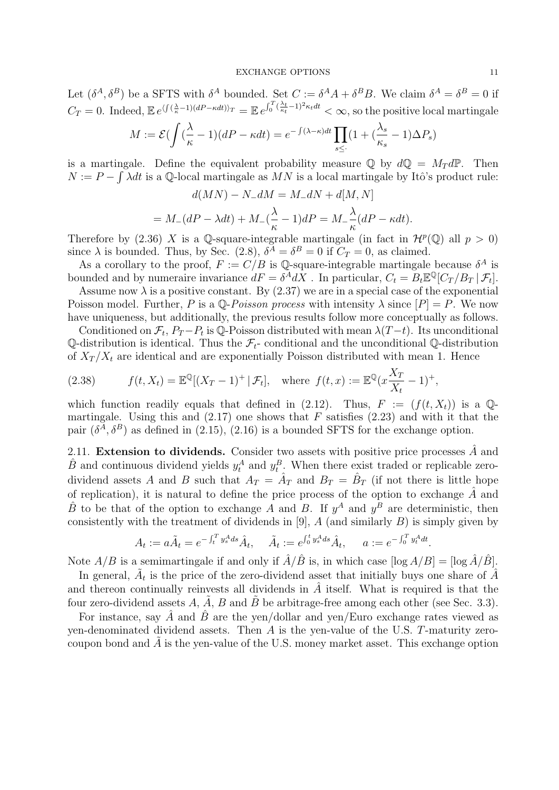Let  $(\delta^A, \delta^B)$  be a SFTS with  $\delta^A$  bounded. Set  $C := \delta^A A + \delta^B B$ . We claim  $\delta^A = \delta^B = 0$  if  $C_T = 0$ . Indeed,  $\mathbb{E} e^{\langle \int_{-\infty}^{(\infty)} (dP - \kappa dt) \rangle_T} = \mathbb{E} e^{\int_0^T (\frac{\lambda_t}{\kappa_t} - 1)^2 \kappa_t dt} < \infty$ , so the positive local martingale

$$
M := \mathcal{E}(\int (\frac{\lambda}{\kappa} - 1)(dP - \kappa dt) = e^{-\int (\lambda - \kappa)dt} \prod_{s \leq \cdot} (1 + (\frac{\lambda_s}{\kappa_s} - 1)\Delta P_s)
$$

is a martingale. Define the equivalent probability measure  $\mathbb Q$  by  $d\mathbb Q = M_T d\mathbb P$ . Then  $N := P - \int \tilde{\lambda} dt$  is a Q-local martingale as  $MN$  is a local martingale by Itô's product rule:

$$
d(MN) - N_dM = M_dN + d[M, N]
$$
  
=  $M_d(P - \lambda dt) + M_d(\frac{\lambda}{\kappa} - 1) dP = M_d(\frac{\lambda}{\kappa}dP - \kappa dt).$ 

Therefore by (2.36) X is a Q-square-integrable martingale (in fact in  $\mathcal{H}^p(\mathbb{Q})$  all  $p > 0$ ) since  $\lambda$  is bounded. Thus, by Sec. (2.8),  $\delta^A = \delta^B = 0$  if  $C_T = 0$ , as claimed.

As a corollary to the proof,  $F := C/B$  is Q-square-integrable martingale because  $\delta^A$  is bounded and by numeraire invariance  $dF = \delta^A dX$ . In particular,  $C_t = B_t \mathbb{E}^{\mathbb{Q}}[C_T/B_T | \mathcal{F}_t]$ .

Assume now  $\lambda$  is a positive constant. By (2.37) we are in a special case of the exponential Poisson model. Further, P is a  $\mathbb{Q}$ -Poisson process with intensity  $\lambda$  since  $[P] = P$ . We now have uniqueness, but additionally, the previous results follow more conceptually as follows.

Conditioned on  $\mathcal{F}_t$ ,  $P_T-P_t$  is Q-Poisson distributed with mean  $\lambda(T-t)$ . Its unconditional  $\mathbb{Q}\text{-distribution}$  is identical. Thus the  $\mathcal{F}_t$ - conditional and the unconditional  $\mathbb{Q}\text{-distribution}$ of  $X_T / X_t$  are identical and are exponentially Poisson distributed with mean 1. Hence

(2.38) 
$$
f(t, X_t) = \mathbb{E}^{\mathbb{Q}}[(X_T - 1)^+ | \mathcal{F}_t], \text{ where } f(t, x) := \mathbb{E}^{\mathbb{Q}}(x \frac{X_T}{X_t} - 1)^+,
$$

which function readily equals that defined in (2.12). Thus,  $F := (f(t, X_t))$  is a Qmartingale. Using this and  $(2.17)$  one shows that F satisfies  $(2.23)$  and with it that the pair  $(\delta^A, \delta^B)$  as defined in (2.15), (2.16) is a bounded SFTS for the exchange option.

2.11. Extension to dividends. Consider two assets with positive price processes  $\tilde{A}$  and  $\hat{B}$  and continuous dividend yields  $y_t^A$  and  $y_t^B$ . When there exist traded or replicable zerodividend assets A and B such that  $A_T = \hat{A}_T$  and  $B_T = \hat{B}_T$  (if not there is little hope of replication), it is natural to define the price process of the option to exchange  $\hat{A}$  and  $\hat{B}$  to be that of the option to exchange A and B. If  $y^A$  and  $y^B$  are deterministic, then consistently with the treatment of dividends in [9],  $A$  (and similarly  $B$ ) is simply given by

$$
A_t := a\tilde{A}_t = e^{-\int_t^T y_s^A ds} \hat{A}_t, \quad \tilde{A}_t := e^{\int_0^t y_s^A ds} \hat{A}_t, \quad a := e^{-\int_0^T y_t^A dt}.
$$

Note  $A/B$  is a semimartingale if and only if  $\hat{A}/\hat{B}$  is, in which case  $[\log A/B] = [\log \hat{A}/\hat{B}]$ .

In general,  $\tilde{A}_t$  is the price of the zero-dividend asset that initially buys one share of  $\hat{A}$ and thereon continually reinvests all dividends in  $\tilde{A}$  itself. What is required is that the four zero-dividend assets  $A$ ,  $\tilde{A}$ ,  $B$  and  $\tilde{B}$  be arbitrage-free among each other (see Sec. 3.3).

For instance, say  $\hat{A}$  and  $\hat{B}$  are the yen/dollar and yen/Euro exchange rates viewed as yen-denominated dividend assets. Then A is the yen-value of the U.S. T-maturity zerocoupon bond and  $\tilde{A}$  is the yen-value of the U.S. money market asset. This exchange option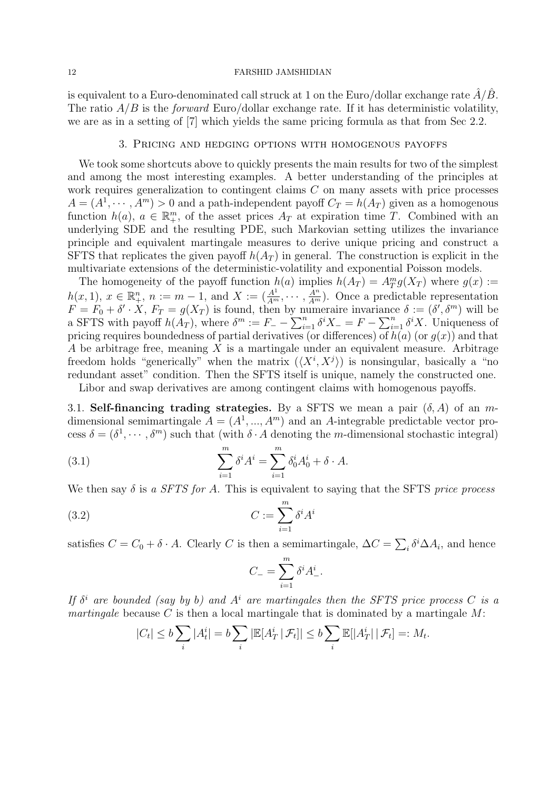is equivalent to a Euro-denominated call struck at 1 on the Euro/dollar exchange rate  $\hat{A}/\hat{B}$ . The ratio  $A/B$  is the *forward* Euro/dollar exchange rate. If it has deterministic volatility, we are as in a setting of [7] which yields the same pricing formula as that from Sec 2.2.

# 3. Pricing and hedging options with homogenous payoffs

We took some shortcuts above to quickly presents the main results for two of the simplest and among the most interesting examples. A better understanding of the principles at work requires generalization to contingent claims C on many assets with price processes  $A = (A^1, \dots, A^m) > 0$  and a path-independent payoff  $C_T = h(A_T)$  given as a homogenous function  $h(a)$ ,  $a \in \mathbb{R}_{+}^{m}$ , of the asset prices  $A_T$  at expiration time T. Combined with an underlying SDE and the resulting PDE, such Markovian setting utilizes the invariance principle and equivalent martingale measures to derive unique pricing and construct a SFTS that replicates the given payoff  $h(A_T)$  in general. The construction is explicit in the multivariate extensions of the deterministic-volatility and exponential Poisson models.

The homogeneity of the payoff function  $h(a)$  implies  $h(A_T) = A_T^m g(X_T)$  where  $g(x) :=$ The nonogenery of the payon function  $h(u)$  implies  $h(\Lambda T) = \Lambda T g(\Lambda T)$  where  $g(x) = h(x, 1)$ ,  $x \in \mathbb{R}_+^n$ ,  $n := m - 1$ , and  $X := (\frac{A^1}{A^m}, \dots, \frac{A^n}{A^m})$ . Once a predictable representation  $F = F_0 + \delta' \cdot X$ ,  $F_T = g(X_T)$  is found, then by numeraire invariance  $\delta := (\delta', \delta^m)$  will be a SFTS with payoff  $h(A_T)$ , where  $\delta^m := F_+ - \sum_{i=1}^n \delta^i X = F - \sum_{i=1}^n \delta^i X$ . Uniqueness of pricing requires boundedness of partial derivatives (or differences) of  $h(a)$  (or  $q(x)$ ) and that A be arbitrage free, meaning  $X$  is a martingale under an equivalent measure. Arbitrage freedom holds "generically" when the matrix  $(\langle X^i, X^j \rangle)$  is nonsingular, basically a "no redundant asset" condition. Then the SFTS itself is unique, namely the constructed one.

Libor and swap derivatives are among contingent claims with homogenous payoffs.

3.1. Self-financing trading strategies. By a SFTS we mean a pair  $(\delta, A)$  of an mdimensional semimartingale  $A = (A^1, ..., A^m)$  and an A-integrable predictable vector process  $\delta = (\delta^1, \dots, \delta^m)$  such that (with  $\delta \cdot A$  denoting the *m*-dimensional stochastic integral)

(3.1) 
$$
\sum_{i=1}^{m} \delta^{i} A^{i} = \sum_{i=1}^{m} \delta_{0}^{i} A_{0}^{i} + \delta \cdot A.
$$

We then say  $\delta$  is a SFTS for A. This is equivalent to saying that the SFTS price process

$$
(3.2)\qquad \qquad C := \sum_{i=1}^{m} \delta^i A^i
$$

satisfies  $C = C_0 + \delta \cdot A$ . Clearly C is then a semimartingale,  $\Delta C = \sum_i \delta^i \Delta A_i$ , and hence

$$
C_{-} = \sum_{i=1}^{m} \delta^i A^i_{-}.
$$

If  $\delta^i$  are bounded (say by b) and  $A^i$  are martingales then the SFTS price process C is a martingale because C is then a local martingale that is dominated by a martingale  $M$ :

$$
|C_t| \le b \sum_i |A_t^i| = b \sum_i |\mathbb{E}[A_T^i \mid \mathcal{F}_t]| \le b \sum_i \mathbb{E}[|A_T^i| \mid \mathcal{F}_t] =: M_t.
$$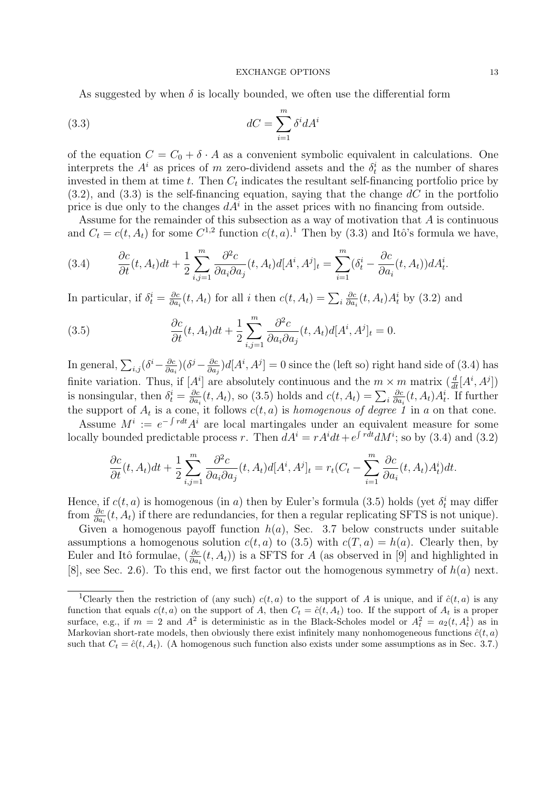As suggested by when  $\delta$  is locally bounded, we often use the differential form

(3.3) 
$$
dC = \sum_{i=1}^{m} \delta^{i} dA^{i}
$$

of the equation  $C = C_0 + \delta \cdot A$  as a convenient symbolic equivalent in calculations. One interprets the  $A^i$  as prices of m zero-dividend assets and the  $\delta_t^i$  as the number of shares invested in them at time t. Then  $C_t$  indicates the resultant self-financing portfolio price by  $(3.2)$ , and  $(3.3)$  is the self-financing equation, saying that the change dC in the portfolio price is due only to the changes  $dA^i$  in the asset prices with no financing from outside.

Assume for the remainder of this subsection as a way of motivation that A is continuous and  $C_t = c(t, A_t)$  for some  $C^{1,2}$  function  $c(t, a)$ .<sup>1</sup> Then by (3.3) and Itô's formula we have,

(3.4) 
$$
\frac{\partial c}{\partial t}(t, A_t)dt + \frac{1}{2}\sum_{i,j=1}^m \frac{\partial^2 c}{\partial a_i \partial a_j}(t, A_t)d[A^i, A^j]_t = \sum_{i=1}^m (\delta_t^i - \frac{\partial c}{\partial a_i}(t, A_t))dA_t^i.
$$

In particular, if  $\delta_t^i = \frac{\partial c}{\partial a}$  $\frac{\partial c}{\partial a_i}(t, A_t)$  for all i then  $c(t, A_t) = \sum_i$ ∂c  $\frac{\partial c}{\partial a_i}(t, A_t) A_t^i$  by (3.2) and

(3.5) 
$$
\frac{\partial c}{\partial t}(t, A_t)dt + \frac{1}{2}\sum_{i,j=1}^m \frac{\partial^2 c}{\partial a_i \partial a_j}(t, A_t)d[A^i, A^j]_t = 0.
$$

In general,  $\sum_{i,j} (\delta^i - \frac{\partial c}{\partial a_i})$  $\frac{\partial c}{\partial a_i}\big)\big(\delta^j - \frac{\partial c}{\partial a_j}$  $\frac{\partial c}{\partial a_j}$ )d[ $A^i$ ,  $A^j$ ] = 0 since the (left so) right hand side of (3.4) has finite variation. Thus, if  $[A^i]$  are absolutely continuous and the  $m \times m$  matrix  $\left( \frac{d}{dt} [A^i, A^j] \right)$ is nonsingular, then  $\delta_t^i = \frac{\partial c}{\partial a}$  $\frac{\partial c}{\partial a_i}(t, A_t)$ , so (3.5) holds and  $c(t, A_t) = \sum_i$ ∂c  $\frac{\partial c}{\partial a_i}(t, A_t) A_t^i$ . If further the support of  $A_t$  is a cone, it follows  $c(t, a)$  is homogenous of degree 1 in a on that cone.

Assume  $M^i := e^{-\int r dt} A^i$  are local martingales under an equivalent measure for some locally bounded predictable process r. Then  $dA^i = rA^i dt + e^{\int rdt} dM^i$ ; so by (3.4) and (3.2)

$$
\frac{\partial c}{\partial t}(t, A_t)dt + \frac{1}{2}\sum_{i,j=1}^m \frac{\partial^2 c}{\partial a_i \partial a_j}(t, A_t)d[A^i, A^j]_t = r_t(C_t - \sum_{i=1}^m \frac{\partial c}{\partial a_i}(t, A_t)A_t^i)dt.
$$

Hence, if  $c(t, a)$  is homogenous (in a) then by Euler's formula (3.5) holds (yet  $\delta_t^i$  may differ from  $\frac{\partial c}{\partial a_i}(t, A_t)$  if there are redundancies, for then a regular replicating SFTS is not unique).

Given a homogenous payoff function  $h(a)$ , Sec. 3.7 below constructs under suitable assumptions a homogenous solution  $c(t, a)$  to (3.5) with  $c(T, a) = h(a)$ . Clearly then, by Euler and Itô formulae,  $(\frac{\partial c}{\partial a_i}(t, A_t))$  is a SFTS for A (as observed in [9] and highlighted in [8], see Sec. 2.6). To this end, we first factor out the homogenous symmetry of  $h(a)$  next.

<sup>&</sup>lt;sup>1</sup>Clearly then the restriction of (any such)  $c(t, a)$  to the support of A is unique, and if  $\hat{c}(t, a)$  is any function that equals  $c(t, a)$  on the support of A, then  $C_t = \hat{c}(t, A_t)$  too. If the support of  $A_t$  is a proper surface, e.g., if  $m = 2$  and  $A^2$  is deterministic as in the Black-Scholes model or  $A_t^2 = a_2(t, A_t^1)$  as in Markovian short-rate models, then obviously there exist infinitely many nonhomogeneous functions  $\hat{c}(t, a)$ such that  $C_t = \hat{c}(t, A_t)$ . (A homogenous such function also exists under some assumptions as in Sec. 3.7.)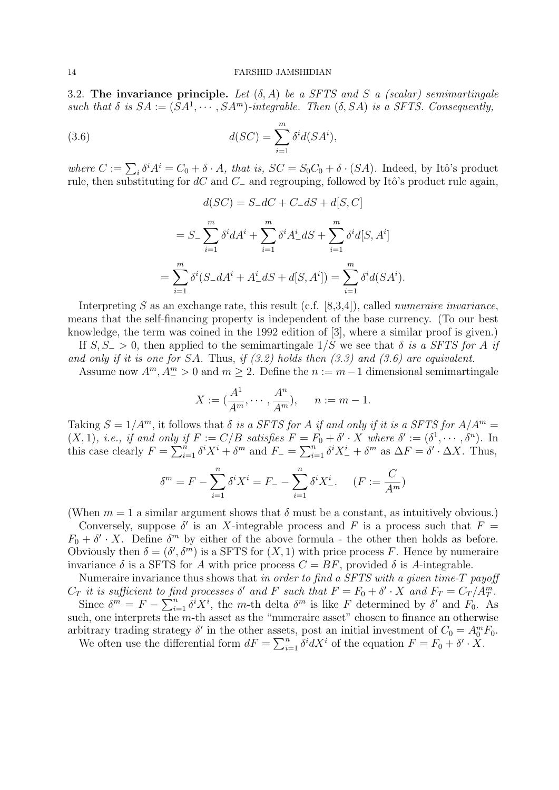3.2. The invariance principle. Let  $(\delta, A)$  be a SFTS and S a (scalar) semimartingale such that  $\delta$  is  $SA := (SA^1, \cdots, SA^m)$ -integrable. Then  $(\delta, SA)$  is a SFTS. Consequently,

(3.6) 
$$
d(SC) = \sum_{i=1}^{m} \delta^{i} d(SA^{i}),
$$

where  $C := \sum_i \delta^i A^i = C_0 + \delta \cdot A$ , that is,  $SC = S_0 C_0 + \delta \cdot (SA)$ . Indeed, by Itô's product rule, then substituting for  $dC$  and  $C_-\$  and regrouping, followed by Itô's product rule again,

$$
d(SC) = S_-dC + C_-dS + d[S, C]
$$

$$
= S_{-} \sum_{i=1}^{m} \delta^{i} dA^{i} + \sum_{i=1}^{m} \delta^{i} A_{-}^{i} dS + \sum_{i=1}^{m} \delta^{i} d[S, A^{i}]
$$
  

$$
= \sum_{i=1}^{m} \delta^{i} (S_{-} dA^{i} + A_{-}^{i} dS + d[S, A^{i}]) = \sum_{i=1}^{m} \delta^{i} d(SA^{i}).
$$

Interpreting  $S$  as an exchange rate, this result (c.f. [8,3,4]), called *numeraire invariance*, means that the self-financing property is independent of the base currency. (To our best knowledge, the term was coined in the 1992 edition of [3], where a similar proof is given.)

If  $S, S_ \equiv 0$ , then applied to the semimartingale  $1/S$  we see that  $\delta$  is a SFTS for A if and only if it is one for SA. Thus, if  $(3.2)$  holds then  $(3.3)$  and  $(3.6)$  are equivalent.

Assume now  $A^m$ ,  $A^m_{-} > 0$  and  $m \geq 2$ . Define the  $n := m - 1$  dimensional semimartingale

$$
X := (\frac{A^1}{A^m}, \cdots, \frac{A^n}{A^m}), \quad n := m - 1.
$$

Taking  $S = 1/A^m$ , it follows that  $\delta$  is a SFTS for A if and only if it is a SFTS for  $A/A^m =$  $(X,1)$ , *i.e.*, *if and only if*  $F := C/B$  *satisfies*  $F = F_0 + \delta' \cdot X$  *where*  $\delta' := (\delta^1, \cdots, \delta^n)$ . In this case clearly  $F = \sum_{i=1}^{n} \delta^i X^i + \delta^m$  and  $F_{-} = \sum_{i=1}^{n} \delta^i X^i + \delta^m$  as  $\Delta F = \delta' \cdot \Delta X$ . Thus,

$$
\delta^m = F - \sum_{i=1}^n \delta^i X^i = F_- - \sum_{i=1}^n \delta^i X_-^i.
$$
 (F :=  $\frac{C}{A^m}$ )

(When  $m = 1$  a similar argument shows that  $\delta$  must be a constant, as intuitively obvious.)

Conversely, suppose  $\delta'$  is an X-integrable process and F is a process such that  $F =$  $F_0 + \delta' \cdot X$ . Define  $\delta^m$  by either of the above formula - the other then holds as before. Obviously then  $\delta = (\delta', \delta^m)$  is a SFTS for  $(X, 1)$  with price process F. Hence by numeraire invariance  $\delta$  is a SFTS for A with price process  $C = BF$ , provided  $\delta$  is A-integrable.

Numeraire invariance thus shows that in order to find a SFTS with a given time-T payoff  $C_T$  it is sufficient to find processes  $\delta'$  and F such that  $F = F_0 + \delta' \cdot X$  and  $F_T = C_T / A_T^m$ . Since  $\delta^m = F - \sum_{i=1}^n \delta^i X^i$ , the m-th delta  $\delta^m$  is like F determined by  $\delta'$  and  $F_0$ . As such, one interprets the m-th asset as the "numeraire asset" chosen to finance an otherwise arbitrary trading strategy  $\delta'$  in the other assets, post an initial investment of  $C_0 = A_0^m F_0$ .

We often use the differential form  $dF = \sum_{i=1}^{n} \delta^i dX^i$  of the equation  $F = F_0 + \delta' \cdot \check{X}$ .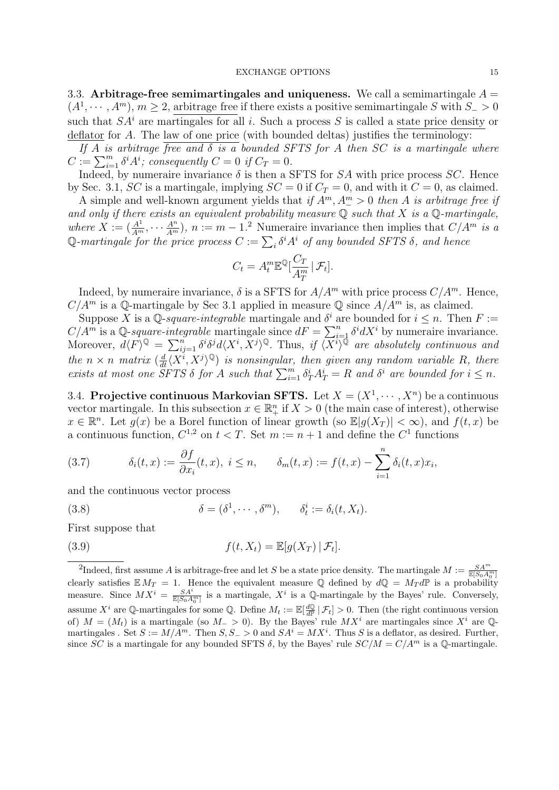3.3. Arbitrage-free semimartingales and uniqueness. We call a semimartingale  $A =$  $(A^1, \dots, A^m), m \ge 2$ , arbitrage free if there exists a positive semimartingale S with  $S_{-} > 0$ such that  $SA<sup>i</sup>$  are martingales for all i. Such a process S is called a state price density or deflator for A. The law of one price (with bounded deltas) justifies the terminology:

If A is arbitrage free and  $\delta$  is a bounded SFTS for A then SC is a martingale where  $C := \sum_{i=1}^{m} \delta^i A^i$ ; consequently  $C = 0$  if  $C_T = 0$ .

Indeed, by numeraire invariance  $\delta$  is then a SFTS for SA with price process SC. Hence by Sec. 3.1, SC is a martingale, implying  $SC = 0$  if  $C_T = 0$ , and with it  $C = 0$ , as claimed.

A simple and well-known argument yields that if  $A^m$ ,  $A^m_{-} > 0$  then A is arbitrage free if and only if there exists an equivalent probability measure  $\mathbb Q$  such that X is a  $\mathbb Q$ -martingale, where  $X := (\frac{A^1}{A^m}, \cdots \frac{A^n}{A^m}), n := m - 1$ . Numeraire invariance then implies that  $C/A^m$  is a Q-martingale for the price process  $C := \sum_i \delta^i A^i$  of any bounded SFTS  $\delta$ , and hence

$$
C_t = A_t^m \mathbb{E}^{\mathbb{Q}}[\frac{C_T}{A_T^m} | \mathcal{F}_t].
$$

Indeed, by numeraire invariance,  $\delta$  is a SFTS for  $A/A^m$  with price process  $C/A^m$ . Hence,  $C/A^m$  is a Q-martingale by Sec 3.1 applied in measure Q since  $A/A^m$  is, as claimed.

Suppose X is a Q-square-integrable martingale and  $\delta^i$  are bounded for  $i \leq n$ . Then  $F :=$  $C/A^m$  is a Q-square-integrable martingale since  $dF = \sum_{i=1}^n \delta^i dX^i$  by numeraire invariance. Moreover,  $d\langle F \rangle^{\mathbb{Q}} = \sum_{ij=1}^n \delta^i \delta^j d\langle X^i, X^j \rangle^{\mathbb{Q}}$ . Thus, if  $\langle \overline{X}^i \rangle^{\mathbb{Q}}$  are absolutely continuous and the  $n \times n$  matrix  $\left(\frac{d}{dt}\langle X^i, X^j\rangle^{\mathbb{Q}}\right)$  is nonsingular, then given any random variable R, there exists at most one SFTS  $\delta$  for A such that  $\sum_{i=1}^{m} \delta_T^i A_T^i = R$  and  $\delta^i$  are bounded for  $i \leq n$ .

3.4. Projective continuous Markovian SFTS. Let  $X = (X^1, \dots, X^n)$  be a continuous vector martingale. In this subsection  $x \in \mathbb{R}^n_+$  if  $X > 0$  (the main case of interest), otherwise  $x \in \mathbb{R}^n$ . Let  $g(x)$  be a Borel function of linear growth (so  $\mathbb{E}|g(X_T)| < \infty$ ), and  $f(t,x)$  be a continuous function,  $C^{1,2}$  on  $t < T$ . Set  $m := n + 1$  and define the  $C^1$  functions

(3.7) 
$$
\delta_i(t,x) := \frac{\partial f}{\partial x_i}(t,x), \quad i \leq n, \qquad \delta_m(t,x) := f(t,x) - \sum_{i=1}^n \delta_i(t,x)x_i,
$$

and the continuous vector process

(3.8) 
$$
\delta = (\delta^1, \cdots, \delta^m), \qquad \delta_t^i := \delta_i(t, X_t).
$$

First suppose that

(3.9) 
$$
f(t, X_t) = \mathbb{E}[g(X_T) | \mathcal{F}_t].
$$

<sup>&</sup>lt;sup>2</sup>Indeed, first assume A is arbitrage-free and let S be a state price density. The martingale  $M := \frac{SA^m}{\mathbb{E}[S_0A_0^m]}$ clearly satisfies  $\mathbb{E} M_T = 1$ . Hence the equivalent measure Q defined by  $d\mathbb{Q} = M_T d\mathbb{P}$  is a probability measure. Since  $MX^i = \frac{SA^i}{\mathbb{E}[S_0A_0^m]}$  is a martingale,  $X^i$  is a Q-martingale by the Bayes' rule. Conversely, assume  $X^i$  are Q-martingales for some Q. Define  $M_t := \mathbb{E}[\frac{d\mathbb{Q}}{d\mathbb{P}} | \mathcal{F}_t] > 0$ . Then (the right continuous version of)  $M = (M_t)$  is a martingale (so  $M_{-} > 0$ ). By the Bayes' rule  $MX^i$  are martingales since  $X^i$  are  $\mathbb{Q}$ martingales . Set  $S := M/A^m$ . Then  $S, S_{-} > 0$  and  $SA^{i} = MX^{i}$ . Thus S is a deflator, as desired. Further, since SC is a martingale for any bounded SFTS  $\delta$ , by the Bayes' rule  $SC/M = C/A<sup>m</sup>$  is a Q-martingale.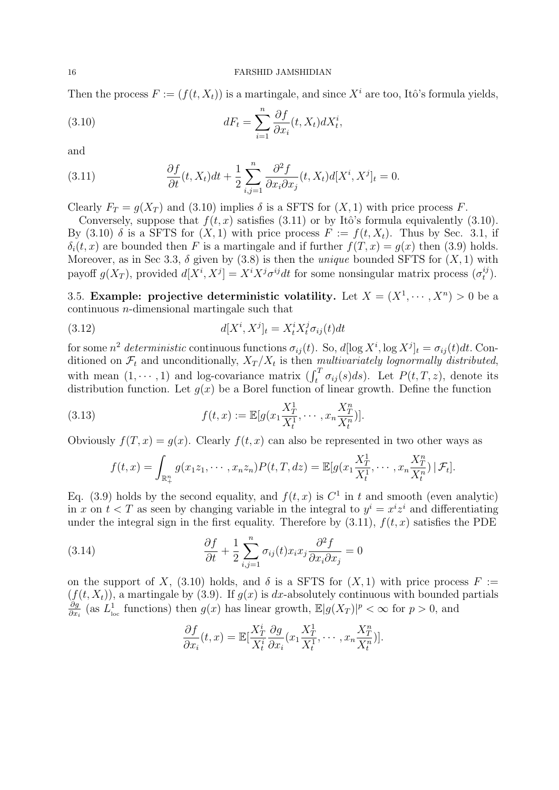Then the process  $F := (f(t, X_t))$  is a martingale, and since  $X^i$  are too, Itô's formula yields,

(3.10) 
$$
dF_t = \sum_{i=1}^n \frac{\partial f}{\partial x_i}(t, X_t) dX_t^i,
$$

and

(3.11) 
$$
\frac{\partial f}{\partial t}(t, X_t)dt + \frac{1}{2}\sum_{i,j=1}^n \frac{\partial^2 f}{\partial x_i \partial x_j}(t, X_t)d[X^i, X^j]_t = 0.
$$

Clearly  $F_T = g(X_T)$  and (3.10) implies  $\delta$  is a SFTS for  $(X, 1)$  with price process F.

Conversely, suppose that  $f(t, x)$  satisfies (3.11) or by Itô's formula equivalently (3.10). By (3.10)  $\delta$  is a SFTS for  $(X, 1)$  with price process  $F := f(t, X_t)$ . Thus by Sec. 3.1, if  $\delta_i(t, x)$  are bounded then F is a martingale and if further  $f(T, x) = q(x)$  then (3.9) holds. Moreover, as in Sec 3.3,  $\delta$  given by (3.8) is then the *unique* bounded SFTS for  $(X, 1)$  with payoff  $g(X_T)$ , provided  $d[X^i, X^j] = X^i X^j \sigma^{ij} dt$  for some nonsingular matrix process  $(\sigma_t^{ij})$  $\binom{ij}{t}$ .

3.5. Example: projective deterministic volatility. Let  $X = (X^1, \dots, X^n) > 0$  be a continuous n-dimensional martingale such that

(3.12) 
$$
d[X^i, X^j]_t = X^i_t X^j_t \sigma_{ij}(t) dt
$$

for some  $n^2$  deterministic continuous functions  $\sigma_{ij}(t)$ . So,  $d[\log X^i, \log X^j]_t = \sigma_{ij}(t)dt$ . Conditioned on  $\mathcal{F}_t$  and unconditionally,  $X_T/X_t$  is then multivariately lognormally distributed, with mean  $(1, \dots, 1)$  and log-covariance matrix  $\left(\int_t^T \sigma_{ij}(s)ds\right)$ . Let  $P(t,T,z)$ , denote its distribution function. Let  $q(x)$  be a Borel function of linear growth. Define the function

(3.13) 
$$
f(t,x) := \mathbb{E}[g(x_1 \frac{X_T^1}{X_t^1}, \cdots, x_n \frac{X_T^n}{X_t^n})].
$$

Obviously  $f(T, x) = q(x)$ . Clearly  $f(t, x)$  can also be represented in two other ways as

$$
f(t,x) = \int_{\mathbb{R}^n_+} g(x_1 z_1, \cdots, x_n z_n) P(t,T,dz) = \mathbb{E}[g(x_1 \frac{X_T^1}{X_t^1}, \cdots, x_n \frac{X_T^n}{X_t^n}) | \mathcal{F}_t].
$$

Eq. (3.9) holds by the second equality, and  $f(t, x)$  is  $C<sup>1</sup>$  in t and smooth (even analytic) in x on  $t < T$  as seen by changing variable in the integral to  $y^i = x^i z^i$  and differentiating under the integral sign in the first equality. Therefore by  $(3.11)$ ,  $f(t, x)$  satisfies the PDE

(3.14) 
$$
\frac{\partial f}{\partial t} + \frac{1}{2} \sum_{i,j=1}^{n} \sigma_{ij}(t) x_i x_j \frac{\partial^2 f}{\partial x_i \partial x_j} = 0
$$

on the support of X, (3.10) holds, and  $\delta$  is a SFTS for  $(X, 1)$  with price process  $F :=$  $(f(t, X_t))$ , a martingale by (3.9). If  $g(x)$  is dx-absolutely continuous with bounded partials ∂g  $\frac{\partial g}{\partial x_i}$  (as  $L^1_{\text{loc}}$ <sup>1</sup><sub>loc</sub> functions) then  $g(x)$  has linear growth,  $\mathbb{E}[g(X_T)|^p < \infty$  for  $p > 0$ , and

$$
\frac{\partial f}{\partial x_i}(t,x) = \mathbb{E}[\frac{X_T^i}{X_t^i} \frac{\partial g}{\partial x_i}(x_1 \frac{X_T^1}{X_t^1}, \cdots, x_n \frac{X_T^n}{X_t^n})].
$$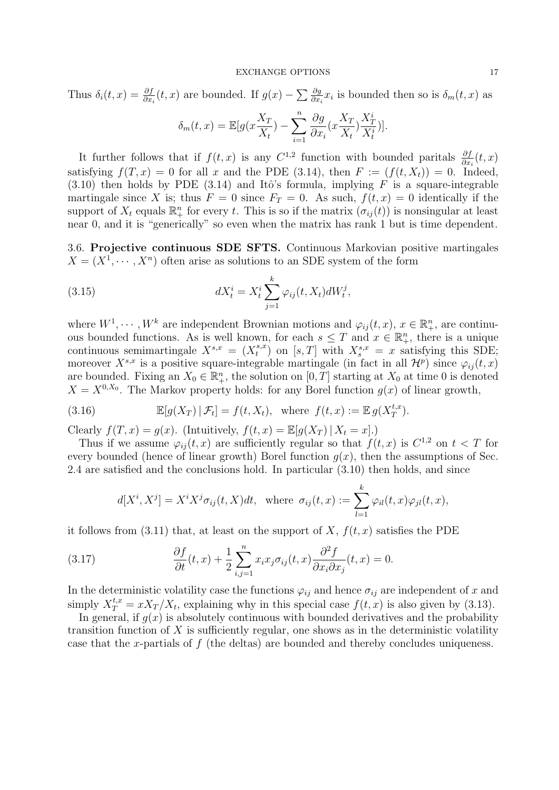Thus  $\delta_i(t,x) = \frac{\partial f}{\partial x_i}(t,x)$  are bounded. If  $g(x) - \sum \frac{\partial g}{\partial x_i}x_i$  is bounded then so is  $\delta_m(t,x)$  as

$$
\delta_m(t,x) = \mathbb{E}[g(x\frac{X_T}{X_t}) - \sum_{i=1}^n \frac{\partial g}{\partial x_i}(x\frac{X_T}{X_t})\frac{X_T^i}{X_t^i})].
$$

It further follows that if  $f(t, x)$  is any  $C^{1,2}$  function with bounded paritals  $\frac{\partial f}{\partial x_i}(t, x)$ satisfying  $f(T, x) = 0$  for all x and the PDE (3.14), then  $F := (f(t, X_t)) = 0$ . Indeed, (3.10) then holds by PDE (3.14) and Itô's formula, implying  $F$  is a square-integrable martingale since X is; thus  $F = 0$  since  $F_T = 0$ . As such,  $f(t, x) = 0$  identically if the support of  $X_t$  equals  $\mathbb{R}^n_+$  for every t. This is so if the matrix  $(\sigma_{ij}(t))$  is nonsingular at least near 0, and it is "generically" so even when the matrix has rank 1 but is time dependent.

3.6. Projective continuous SDE SFTS. Continuous Markovian positive martingales  $X = (X^1, \dots, X^n)$  often arise as solutions to an SDE system of the form

(3.15) 
$$
dX_t^i = X_t^i \sum_{j=1}^k \varphi_{ij}(t, X_t) dW_t^j,
$$

where  $W^1, \dots, W^k$  are independent Brownian motions and  $\varphi_{ij}(t, x), x \in \mathbb{R}^n_+$ , are continuous bounded functions. As is well known, for each  $s \leq T$  and  $x \in \mathbb{R}^n_+$ , there is a unique continuous semimartingale  $X^{s,x} = (X^{s,x}_t)$  $t^{s,x}$ ) on [s, T] with  $X_s^{s,x} = x$  satisfying this SDE; moreover  $X^{s,x}$  is a positive square-integrable martingale (in fact in all  $\mathcal{H}^p$ ) since  $\varphi_{ij}(t,x)$ are bounded. Fixing an  $X_0 \in \mathbb{R}^n_+$ , the solution on  $[0, T]$  starting at  $X_0$  at time 0 is denoted  $X = X^{0,X_0}$ . The Markov property holds: for any Borel function  $g(x)$  of linear growth,

(3.16) 
$$
\mathbb{E}[g(X_T) | \mathcal{F}_t] = f(t, X_t), \text{ where } f(t, x) := \mathbb{E} g(X_T^{t, x}).
$$

Clearly  $f(T, x) = g(x)$ . (Intuitively,  $f(t, x) = \mathbb{E}[g(X_T) | X_t = x]$ .)

Thus if we assume  $\varphi_{ij}(t,x)$  are sufficiently regular so that  $f(t,x)$  is  $C^{1,2}$  on  $t < T$  for every bounded (hence of linear growth) Borel function  $q(x)$ , then the assumptions of Sec. 2.4 are satisfied and the conclusions hold. In particular (3.10) then holds, and since

$$
d[X^i, X^j] = X^i X^j \sigma_{ij}(t, X) dt, \text{ where } \sigma_{ij}(t, x) := \sum_{l=1}^k \varphi_{il}(t, x) \varphi_{jl}(t, x),
$$

it follows from (3.11) that, at least on the support of X,  $f(t, x)$  satisfies the PDE

(3.17) 
$$
\frac{\partial f}{\partial t}(t,x) + \frac{1}{2} \sum_{i,j=1}^{n} x_i x_j \sigma_{ij}(t,x) \frac{\partial^2 f}{\partial x_i \partial x_j}(t,x) = 0.
$$

In the deterministic volatility case the functions  $\varphi_{ij}$  and hence  $\sigma_{ij}$  are independent of x and simply  $X_T^{t,x} = xX_T/X_t$ , explaining why in this special case  $f(t,x)$  is also given by (3.13).

In general, if  $q(x)$  is absolutely continuous with bounded derivatives and the probability transition function of  $X$  is sufficiently regular, one shows as in the deterministic volatility case that the x-partials of  $f$  (the deltas) are bounded and thereby concludes uniqueness.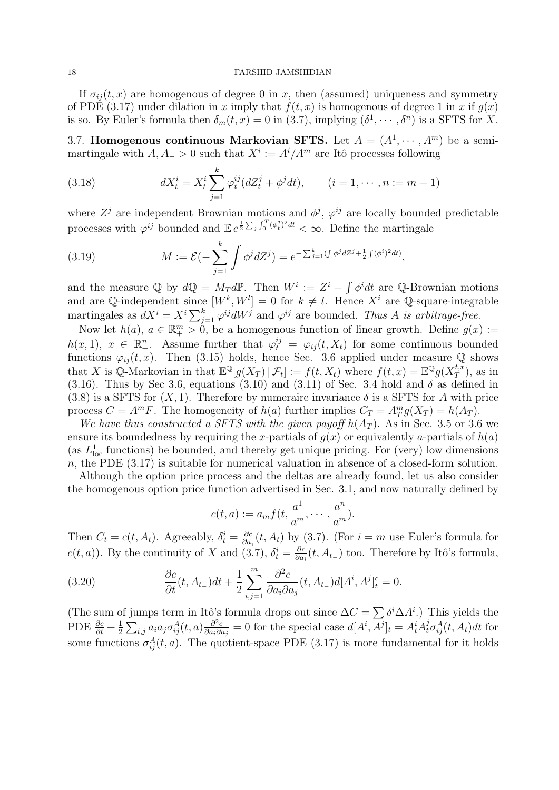If  $\sigma_{ii}(t, x)$  are homogenous of degree 0 in x, then (assumed) uniqueness and symmetry of PDE (3.17) under dilation in x imply that  $f(t, x)$  is homogenous of degree 1 in x if  $q(x)$ is so. By Euler's formula then  $\delta_m(t,x) = 0$  in (3.7), implying  $(\delta^1, \dots, \delta^n)$  is a SFTS for X.

3.7. Homogenous continuous Markovian SFTS. Let  $A = (A^1, \dots, A^m)$  be a semimartingale with  $A, A_{-} > 0$  such that  $X^{i} := A^{i}/A^{m}$  are Itô processes following

(3.18) 
$$
dX_t^i = X_t^i \sum_{j=1}^k \varphi_t^{ij} (dZ_t^j + \phi^j dt), \qquad (i = 1, \cdots, n := m - 1)
$$

where  $Z<sup>j</sup>$  are independent Brownian motions and  $\phi<sup>j</sup>$ ,  $\varphi<sup>ij</sup>$  are locally bounded predictable processes with  $\varphi^{ij}$  bounded and  $\mathbb{E} e^{\frac{1}{2}\sum_j \int_0^T (\phi_t^j)^2 dt} < \infty$ . Define the martingale

(3.19) 
$$
M := \mathcal{E}(-\sum_{j=1}^k \int \phi^j dZ^j) = e^{-\sum_{j=1}^k (\int \phi^j dZ^j + \frac{1}{2} \int (\phi^i)^2 dt)},
$$

and the measure Q by  $dQ = M_T dP$ . Then  $W^i := Z^i + \int \phi^i dt$  are Q-Brownian motions and are Q-independent since  $[W^k, W^l] = 0$  for  $k \neq l$ . Hence  $X^i$  are Q-square-integrable martingales as  $dX^i = X^i \sum_{j=1}^k \varphi^{ij} dW^j$  and  $\varphi^{ij}$  are bounded. Thus A is arbitrage-free.

Now let  $h(a)$ ,  $a \in \mathbb{R}_+^m > 0$ , be a homogenous function of linear growth. Define  $g(x) :=$  $h(x,1), x \in \mathbb{R}^n_+$ . Assume further that  $\varphi_t^{ij} = \varphi_{ij}(t, X_t)$  for some continuous bounded functions  $\varphi_{ij}(t, x)$ . Then (3.15) holds, hence Sec. 3.6 applied under measure Q shows that X is Q-Markovian in that  $\mathbb{E}^{\mathbb{Q}}[g(X_T) | \mathcal{F}_t] := f(t, X_t)$  where  $f(t, x) = \mathbb{E}^{\mathbb{Q}}g(X_T^{t, x})$  $(T^{t,x}_T)$ , as in (3.16). Thus by Sec 3.6, equations (3.10) and (3.11) of Sec. 3.4 hold and  $\delta$  as defined in (3.8) is a SFTS for  $(X, 1)$ . Therefore by numeraire invariance  $\delta$  is a SFTS for A with price process  $C = A^m F$ . The homogeneity of  $h(a)$  further implies  $C_T = A_T^m g(X_T) = h(A_T)$ .

We have thus constructed a SFTS with the given payoff  $h(A_T)$ . As in Sec. 3.5 or 3.6 we ensure its boundedness by requiring the x-partials of  $g(x)$  or equivalently a-partials of  $h(a)$ (as  $L<sub>loc</sub>$  functions) be bounded, and thereby get unique pricing. For (very) low dimensions  $n$ , the PDE  $(3.17)$  is suitable for numerical valuation in absence of a closed-form solution.

Although the option price process and the deltas are already found, let us also consider the homogenous option price function advertised in Sec. 3.1, and now naturally defined by

$$
c(t,a) := a_m f(t, \frac{a^1}{a^m}, \cdots, \frac{a^n}{a^m}).
$$

Then  $C_t = c(t, A_t)$ . Agreeably,  $\delta_t^i = \frac{\partial c}{\partial a}$  $\frac{\partial c}{\partial a_i}(t, A_t)$  by (3.7). (For  $i = m$  use Euler's formula for  $c(t, a)$ ). By the continuity of X and (3.7),  $\delta_t^i = \frac{\partial c}{\partial a}$  $\frac{\partial c}{\partial a_i}(t, A_{t-})$  too. Therefore by Itô's formula,

(3.20) 
$$
\frac{\partial c}{\partial t}(t, A_{t-})dt + \frac{1}{2}\sum_{i,j=1}^m \frac{\partial^2 c}{\partial a_i \partial a_j}(t, A_{t-})d[A^i, A^j]_t^c = 0.
$$

(The sum of jumps term in Itô's formula drops out since  $\Delta C = \sum \delta^i \Delta A^i$ .) This yields the PDE  $\frac{\partial c}{\partial t} + \frac{1}{2}$  $\frac{1}{2}\sum_{i,j}a_{i}a_{j}\sigma_{ij}^{A}(t,a)\frac{\partial^{2}c}{\partial a_{i}\partial b_{j}}$  $\frac{\partial^2 c}{\partial a_i \partial a_j} = 0$  for the special case  $d[A^i, A^j]_t = A^i_t A^j_t \sigma^A_{ij}(t, A_t) dt$  for some functions  $\sigma_{ij}^A(t, a)$ . The quotient-space PDE (3.17) is more fundamental for it holds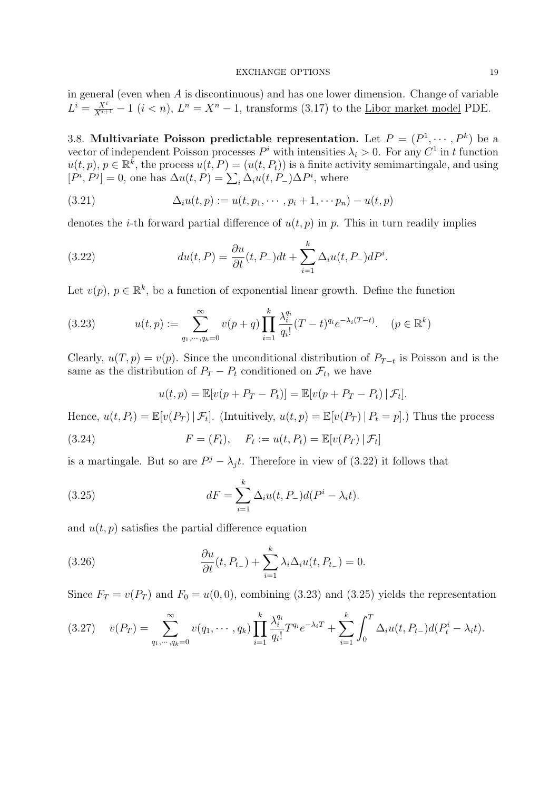in general (even when A is discontinuous) and has one lower dimension. Change of variable  $L^i = \frac{X^i}{X^{i+1}} - 1$   $(i < n)$ ,  $L^n = X^n - 1$ , transforms (3.17) to the <u>Libor market model</u> PDE.

3.8. Multivariate Poisson predictable representation. Let  $P = (P^1, \dots, P^k)$  be a vector of independent Poisson processes  $P^i$  with intensities  $\lambda_i > 0$ . For any  $C^1$  in t function  $u(t,p), p \in \mathbb{R}^k$ , the process  $u(t, P) = (u(t, P_t))$  is a finite activity semimartingale, and using  $[P^i, P^j] = 0$ , one has  $\Delta u(t, P) = \sum_i \Delta_i u(t, P) \Delta P^i$ , where

(3.21) 
$$
\Delta_i u(t, p) := u(t, p_1, \cdots, p_i + 1, \cdots p_n) - u(t, p)
$$

denotes the *i*-th forward partial difference of  $u(t, p)$  in p. This in turn readily implies

(3.22) 
$$
du(t, P) = \frac{\partial u}{\partial t}(t, P_-)dt + \sum_{i=1}^k \Delta_i u(t, P_-)dP^i.
$$

Let  $v(p)$ ,  $p \in \mathbb{R}^k$ , be a function of exponential linear growth. Define the function

(3.23) 
$$
u(t,p) := \sum_{q_1,\dots,q_k=0}^{\infty} v(p+q) \prod_{i=1}^k \frac{\lambda_i^{q_i}}{q_i!} (T-t)^{q_i} e^{-\lambda_i (T-t)}.
$$
  $(p \in \mathbb{R}^k)$ 

Clearly,  $u(T, p) = v(p)$ . Since the unconditional distribution of  $P_{T-t}$  is Poisson and is the same as the distribution of  $P_T - P_t$  conditioned on  $\mathcal{F}_t$ , we have

$$
u(t, p) = \mathbb{E}[v(p + P_T - P_t)] = \mathbb{E}[v(p + P_T - P_t) | \mathcal{F}_t].
$$

Hence,  $u(t, P_t) = \mathbb{E}[v(P_T) | \mathcal{F}_t]$ . (Intuitively,  $u(t, p) = \mathbb{E}[v(P_T) | P_t = p]$ .) Thus the process

(3.24) 
$$
F = (F_t), \quad F_t := u(t, P_t) = \mathbb{E}[v(P_T) | \mathcal{F}_t]
$$

is a martingale. But so are  $P^j - \lambda_j t$ . Therefore in view of (3.22) it follows that

(3.25) 
$$
dF = \sum_{i=1}^{k} \Delta_i u(t, P_-) d(P^i - \lambda_i t).
$$

and  $u(t, p)$  satisfies the partial difference equation

(3.26) 
$$
\frac{\partial u}{\partial t}(t, P_{t-}) + \sum_{i=1}^k \lambda_i \Delta_i u(t, P_{t-}) = 0.
$$

Since  $F_T = v(P_T)$  and  $F_0 = u(0,0)$ , combining (3.23) and (3.25) yields the representation

$$
(3.27) \t v(P_T) = \sum_{q_1,\dots,q_k=0}^{\infty} v(q_1,\dots,q_k) \prod_{i=1}^k \frac{\lambda_i^{q_i}}{q_i!} T^{q_i} e^{-\lambda_i T} + \sum_{i=1}^k \int_0^T \Delta_i u(t,P_{t-}) d(P_t^i - \lambda_i t).
$$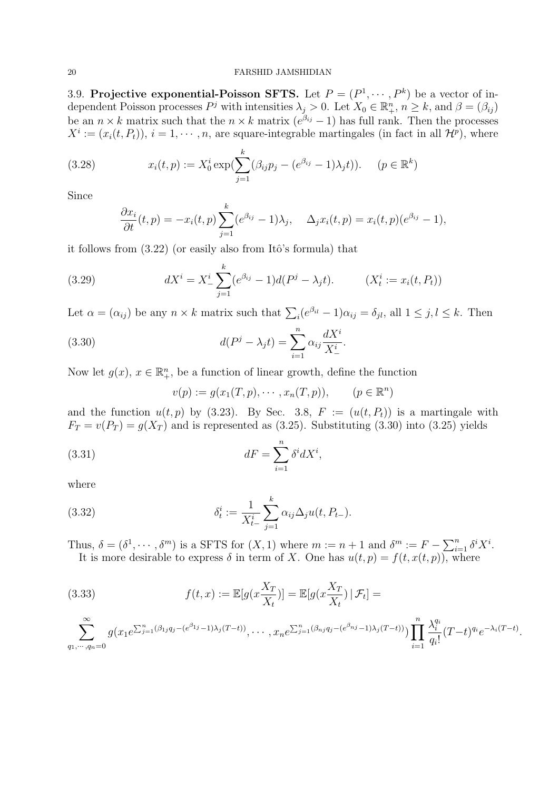3.9. Projective exponential-Poisson SFTS. Let  $P = (P^1, \dots, P^k)$  be a vector of independent Poisson processes  $P^j$  with intensities  $\lambda_j > 0$ . Let  $X_0 \in \mathbb{R}^n_+$ ,  $n \geq k$ , and  $\beta = (\beta_{ij})$ be an  $n \times k$  matrix such that the  $n \times k$  matrix  $(e^{\beta_{ij}} - 1)$  has full rank. Then the processes  $X^i := (x_i(t, P_t)), i = 1, \dots, n$ , are square-integrable martingales (in fact in all  $\mathcal{H}^p$ ), where

(3.28) 
$$
x_i(t, p) := X_0^i \exp(\sum_{j=1}^k (\beta_{ij} p_j - (e^{\beta_{ij}} - 1)\lambda_j t)). \quad (p \in \mathbb{R}^k)
$$

Since

$$
\frac{\partial x_i}{\partial t}(t, p) = -x_i(t, p) \sum_{j=1}^k (e^{\beta_{ij}} - 1) \lambda_j, \quad \Delta_j x_i(t, p) = x_i(t, p) (e^{\beta_{ij}} - 1),
$$

it follows from  $(3.22)$  (or easily also from Itô's formula) that

(3.29) 
$$
dX^{i} = X_{-}^{i} \sum_{j=1}^{k} (e^{\beta_{ij}} - 1) d(P^{j} - \lambda_{j} t). \qquad (X_{t}^{i} := x_{i}(t, P_{t}))
$$

Let  $\alpha = (\alpha_{ij})$  be any  $n \times k$  matrix such that  $\sum_i (e^{\beta_{il}} - 1)\alpha_{ij} = \delta_{jl}$ , all  $1 \le j, l \le k$ . Then

(3.30) 
$$
d(P^j - \lambda_j t) = \sum_{i=1}^n \alpha_{ij} \frac{dX^i}{X^i_-}.
$$

Now let  $g(x)$ ,  $x \in \mathbb{R}_+^n$ , be a function of linear growth, define the function

$$
v(p) := g(x_1(T, p), \cdots, x_n(T, p)), \qquad (p \in \mathbb{R}^n)
$$

and the function  $u(t, p)$  by (3.23). By Sec. 3.8,  $F := (u(t, P_t))$  is a martingale with  $F_T = v(P_T) = g(X_T)$  and is represented as (3.25). Substituting (3.30) into (3.25) yields

(3.31) 
$$
dF = \sum_{i=1}^{n} \delta^{i} dX^{i},
$$

where

(3.32) 
$$
\delta_t^i := \frac{1}{X_{t-}^i} \sum_{j=1}^k \alpha_{ij} \Delta_j u(t, P_{t-}).
$$

Thus,  $\delta = (\delta^1, \dots, \delta^m)$  is a SFTS for  $(X, 1)$  where  $m := n + 1$  and  $\delta^m := F - \sum_{i=1}^n \delta^i X^i$ . It is more desirable to express  $\delta$  in term of X. One has  $u(t, p) = f(t, x(t, p))$ , where

$$
(3.33) \t f(t,x) := \mathbb{E}[g(x\frac{X_T}{X_t})] = \mathbb{E}[g(x\frac{X_T}{X_t}) | \mathcal{F}_t] =
$$
  

$$
\sum_{q_1,\dots,q_n=0}^{\infty} g(x_1 e^{\sum_{j=1}^n (\beta_{1j}q_j - (e^{\beta_{1j}} - 1)\lambda_j(T - t))}, \dots, x_n e^{\sum_{j=1}^n (\beta_{nj}q_j - (e^{\beta_{nj}} - 1)\lambda_j(T - t))}) \prod_{i=1}^n \frac{\lambda_i^{q_i}}{q_i!} (T - t)^{q_i} e^{-\lambda_i(T - t)}.
$$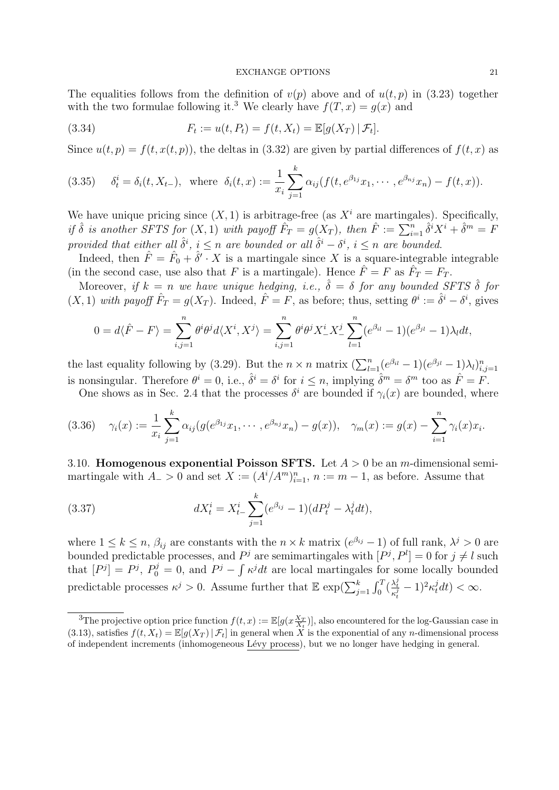The equalities follows from the definition of  $v(p)$  above and of  $u(t, p)$  in (3.23) together with the two formulae following it.<sup>3</sup> We clearly have  $f(T, x) = q(x)$  and

(3.34) 
$$
F_t := u(t, P_t) = f(t, X_t) = \mathbb{E}[g(X_T) | \mathcal{F}_t].
$$

Since  $u(t, p) = f(t, x(t, p))$ , the deltas in (3.32) are given by partial differences of  $f(t, x)$  as

(3.35) 
$$
\delta_t^i = \delta_i(t, X_{t-}), \text{ where } \delta_i(t, x) := \frac{1}{x_i} \sum_{j=1}^k \alpha_{ij} (f(t, e^{\beta_{1j}} x_1, \cdots, e^{\beta_{nj}} x_n) - f(t, x)).
$$

We have unique pricing since  $(X, 1)$  is arbitrage-free (as  $X<sup>i</sup>$  are martingales). Specifically, if  $\hat{\delta}$  is another SFTS for  $(X,1)$  with payoff  $\hat{F}_T = g(X_T)$ , then  $\hat{F} := \sum_{i=1}^n \hat{\delta}^i X^i + \hat{\delta}^m = F$ provided that either all  $\hat{\delta}^i$ ,  $i \leq n$  are bounded or all  $\hat{\delta}^i - \delta^i$ ,  $i \leq n$  are bounded.

Indeed, then  $\hat{F} = \hat{F}_0 + \hat{\delta}' \cdot X$  is a martingale since X is a square-integrable integrable (in the second case, use also that F is a martingale). Hence  $\hat{F} = F$  as  $\hat{F}_T = F_T$ .

Moreover, if  $k = n$  we have unique hedging, i.e.,  $\hat{\delta} = \delta$  for any bounded SFTS  $\hat{\delta}$  for  $(X,1)$  with payoff  $\hat{F}_T = g(X_T)$ . Indeed,  $\hat{F} = F$ , as before; thus, setting  $\theta^i := \hat{\delta}^i - \delta^i$ , gives

$$
0 = d\langle \hat{F} - F \rangle = \sum_{i,j=1}^n \theta^i \theta^j d\langle X^i, X^j \rangle = \sum_{i,j=1}^n \theta^i \theta^j X^i \Big| X^j \Big| \sum_{l=1}^n (e^{\beta_{il}} - 1)(e^{\beta_{jl}} - 1)\lambda_l dt,
$$

the last equality following by (3.29). But the  $n \times n$  matrix  $\left(\sum_{l=1}^{n} (e^{\beta_{il}} - 1)(e^{\beta_{jl}} - 1)\lambda_l\right)_{i,j=1}^n$ is nonsingular. Therefore  $\theta^i = 0$ , i.e.,  $\hat{\delta}^i = \delta^i$  for  $i \leq n$ , implying  $\hat{\delta}^m = \delta^m$  too as  $\hat{F} = F$ .

One shows as in Sec. 2.4 that the processes  $\delta^i$  are bounded if  $\gamma_i(x)$  are bounded, where

$$
(3.36) \quad \gamma_i(x) := \frac{1}{x_i} \sum_{j=1}^k \alpha_{ij} (g(e^{\beta_{1j}} x_1, \cdots, e^{\beta_{nj}} x_n) - g(x)), \quad \gamma_m(x) := g(x) - \sum_{i=1}^n \gamma_i(x) x_i.
$$

3.10. Homogenous exponential Poisson SFTS. Let  $A > 0$  be an m-dimensional semimartingale with  $A_$  > 0 and set  $X := (A^i / A^m)_{i=1}^n$ ,  $n := m - 1$ , as before. Assume that

(3.37) 
$$
dX_t^i = X_{t-}^i \sum_{j=1}^k (e^{\beta_{ij}} - 1)(dP_t^j - \lambda_t^j dt),
$$

where  $1 \leq k \leq n$ ,  $\beta_{ij}$  are constants with the  $n \times k$  matrix  $(e^{\beta_{ij}} - 1)$  of full rank,  $\lambda^j > 0$  are bounded predictable processes, and  $P<sup>j</sup>$  are semimartingales with  $[P<sup>j</sup>, P<sup>l</sup>] = 0$  for  $j \neq l$  such that  $[P^j] = P^j$ ,  $P_0^j = 0$ , and  $P^j - \int \kappa^j dt$  are local martingales for some locally bounded predictable processes  $\kappa^j > 0$ . Assume further that  $\mathbb{E} \exp\left(\sum_{j=1}^k \int_0^T \left(\frac{\lambda_t^j}{\kappa_t^j} - 1\right)^2 \kappa_t^j dt\right) < \infty$ .

<sup>&</sup>lt;sup>3</sup>The projective option price function  $f(t,x) := \mathbb{E}[g(x \frac{X_T}{X_t})]$ , also encountered for the log-Gaussian case in (3.13), satisfies  $f(t, X_t) = \mathbb{E}[g(X_T) | \mathcal{F}_t]$  in general when X is the exponential of any *n*-dimensional process of independent increments (inhomogeneous Lévy process), but we no longer have hedging in general.